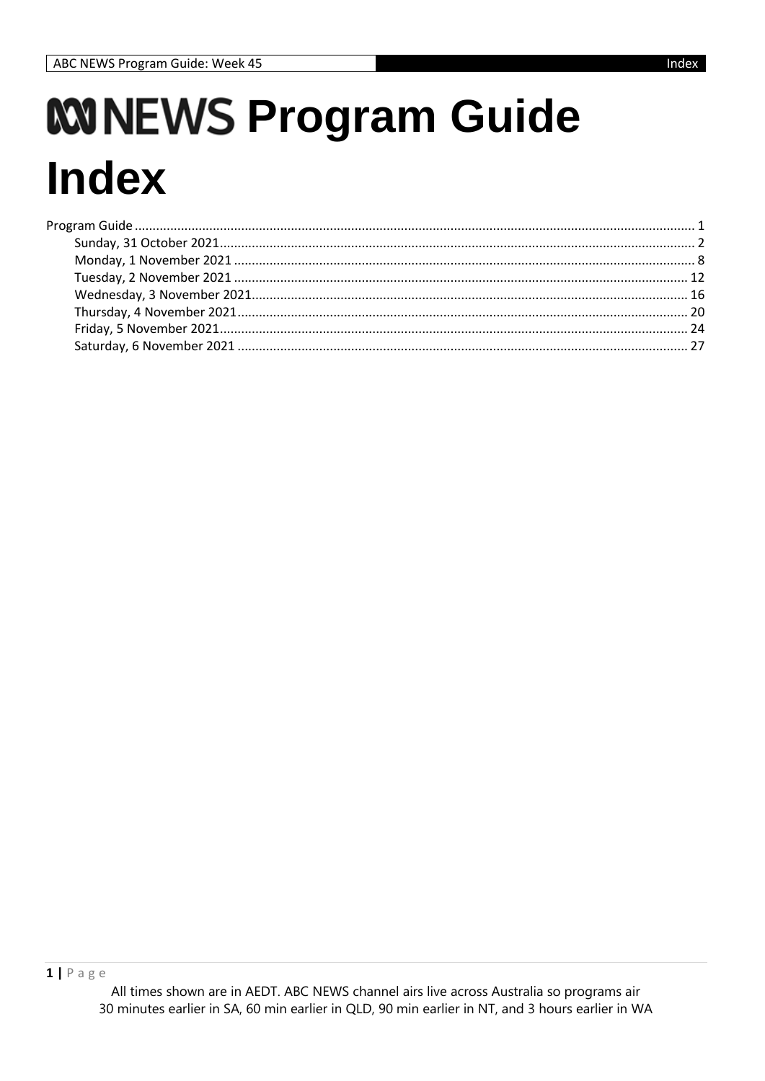# <span id="page-0-0"></span>*KNNEWS Program Guide* **Index**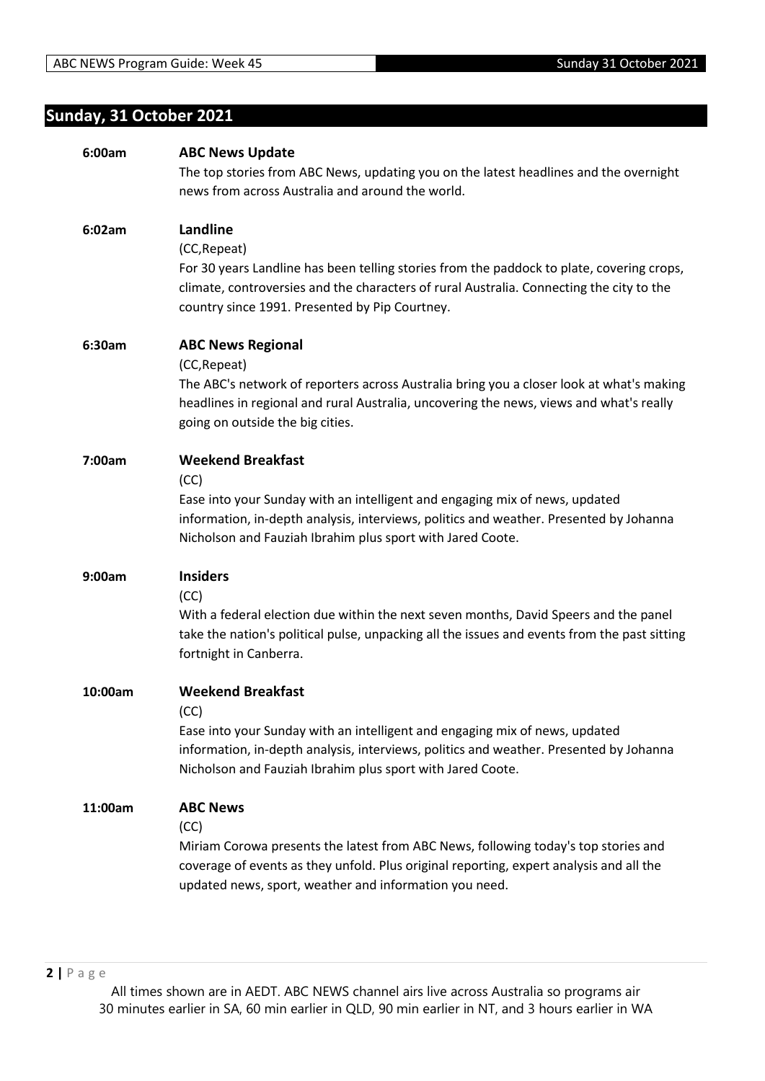## <span id="page-1-0"></span>**Sunday, 31 October 2021**

| 6:00am  | <b>ABC News Update</b>                                                                       |
|---------|----------------------------------------------------------------------------------------------|
|         | The top stories from ABC News, updating you on the latest headlines and the overnight        |
|         | news from across Australia and around the world.                                             |
|         |                                                                                              |
| 6:02am  | Landline                                                                                     |
|         | (CC, Repeat)                                                                                 |
|         | For 30 years Landline has been telling stories from the paddock to plate, covering crops,    |
|         | climate, controversies and the characters of rural Australia. Connecting the city to the     |
|         | country since 1991. Presented by Pip Courtney.                                               |
|         |                                                                                              |
| 6:30am  | <b>ABC News Regional</b>                                                                     |
|         | (CC, Repeat)                                                                                 |
|         |                                                                                              |
|         | The ABC's network of reporters across Australia bring you a closer look at what's making     |
|         | headlines in regional and rural Australia, uncovering the news, views and what's really      |
|         | going on outside the big cities.                                                             |
| 7:00am  | <b>Weekend Breakfast</b>                                                                     |
|         | (CC)                                                                                         |
|         | Ease into your Sunday with an intelligent and engaging mix of news, updated                  |
|         | information, in-depth analysis, interviews, politics and weather. Presented by Johanna       |
|         |                                                                                              |
|         | Nicholson and Fauziah Ibrahim plus sport with Jared Coote.                                   |
| 9:00am  | <b>Insiders</b>                                                                              |
|         | (CC)                                                                                         |
|         | With a federal election due within the next seven months, David Speers and the panel         |
|         | take the nation's political pulse, unpacking all the issues and events from the past sitting |
|         | fortnight in Canberra.                                                                       |
|         |                                                                                              |
| 10:00am | <b>Weekend Breakfast</b>                                                                     |
|         | (CC)                                                                                         |
|         | Ease into your Sunday with an intelligent and engaging mix of news, updated                  |
|         | information, in-depth analysis, interviews, politics and weather. Presented by Johanna       |
|         | Nicholson and Fauziah Ibrahim plus sport with Jared Coote.                                   |
|         |                                                                                              |
| 11:00am | <b>ABC News</b>                                                                              |
|         | (CC)                                                                                         |
|         | Miriam Corowa presents the latest from ABC News, following today's top stories and           |
|         | coverage of events as they unfold. Plus original reporting, expert analysis and all the      |
|         |                                                                                              |
|         | updated news, sport, weather and information you need.                                       |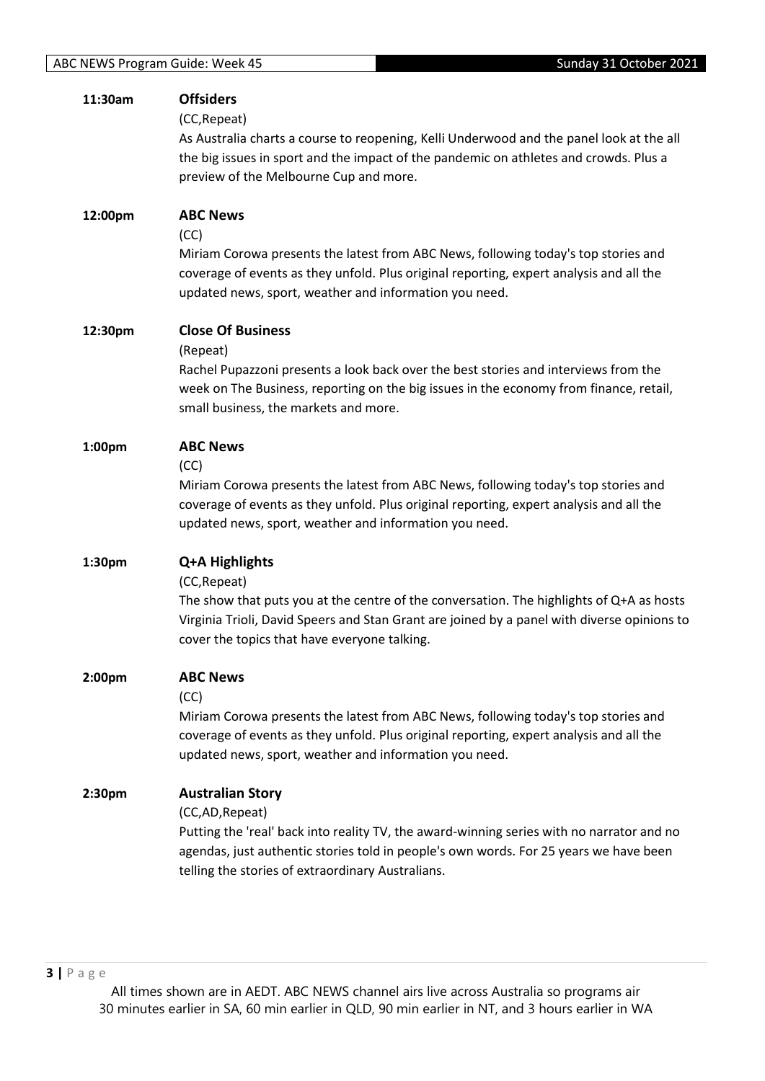| 11:30am | <b>Offsiders</b><br>(CC, Repeat)<br>As Australia charts a course to reopening, Kelli Underwood and the panel look at the all<br>the big issues in sport and the impact of the pandemic on athletes and crowds. Plus a<br>preview of the Melbourne Cup and more.                       |
|---------|---------------------------------------------------------------------------------------------------------------------------------------------------------------------------------------------------------------------------------------------------------------------------------------|
| 12:00pm | <b>ABC News</b><br>(CC)<br>Miriam Corowa presents the latest from ABC News, following today's top stories and<br>coverage of events as they unfold. Plus original reporting, expert analysis and all the<br>updated news, sport, weather and information you need.                    |
| 12:30pm | <b>Close Of Business</b><br>(Repeat)<br>Rachel Pupazzoni presents a look back over the best stories and interviews from the<br>week on The Business, reporting on the big issues in the economy from finance, retail,<br>small business, the markets and more.                        |
| 1:00pm  | <b>ABC News</b><br>(CC)<br>Miriam Corowa presents the latest from ABC News, following today's top stories and<br>coverage of events as they unfold. Plus original reporting, expert analysis and all the<br>updated news, sport, weather and information you need.                    |
| 1:30pm  | Q+A Highlights<br>(CC, Repeat)<br>The show that puts you at the centre of the conversation. The highlights of Q+A as hosts<br>Virginia Trioli, David Speers and Stan Grant are joined by a panel with diverse opinions to<br>cover the topics that have everyone talking.             |
| 2:00pm  | <b>ABC News</b><br>(CC)<br>Miriam Corowa presents the latest from ABC News, following today's top stories and<br>coverage of events as they unfold. Plus original reporting, expert analysis and all the<br>updated news, sport, weather and information you need.                    |
| 2:30pm  | <b>Australian Story</b><br>(CC,AD, Repeat)<br>Putting the 'real' back into reality TV, the award-winning series with no narrator and no<br>agendas, just authentic stories told in people's own words. For 25 years we have been<br>telling the stories of extraordinary Australians. |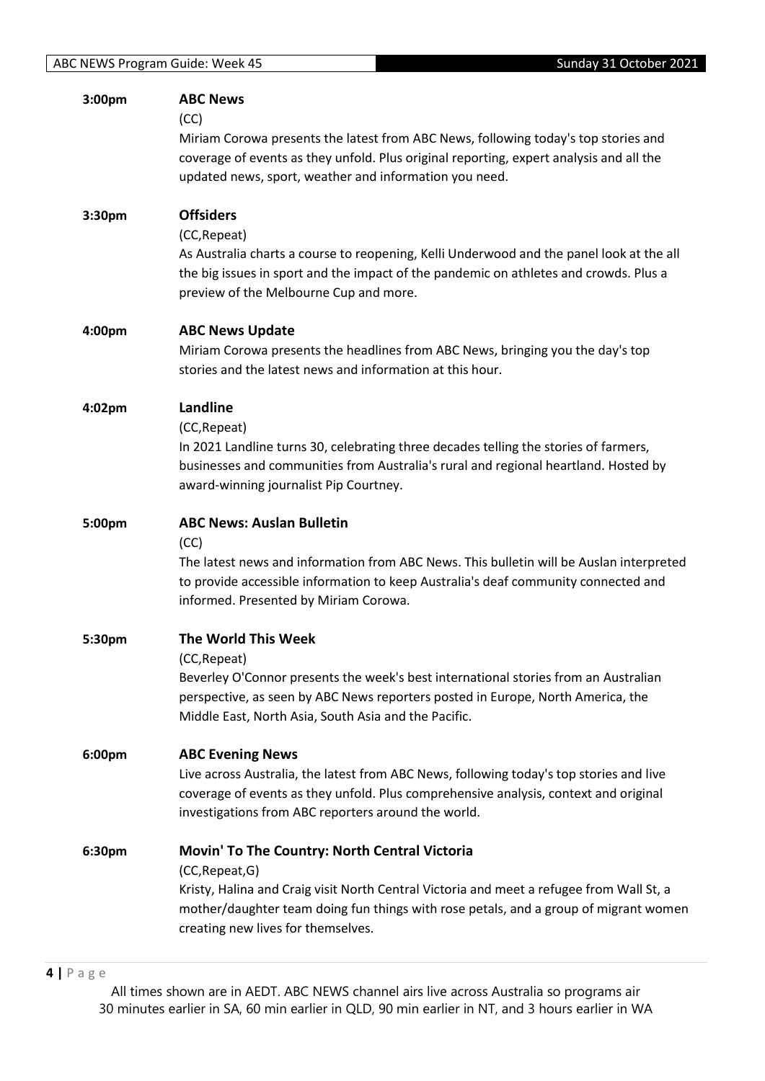| 3:00pm | <b>ABC News</b><br>(CC)<br>Miriam Corowa presents the latest from ABC News, following today's top stories and<br>coverage of events as they unfold. Plus original reporting, expert analysis and all the<br>updated news, sport, weather and information you need.                         |
|--------|--------------------------------------------------------------------------------------------------------------------------------------------------------------------------------------------------------------------------------------------------------------------------------------------|
| 3:30pm | <b>Offsiders</b><br>(CC, Repeat)<br>As Australia charts a course to reopening, Kelli Underwood and the panel look at the all<br>the big issues in sport and the impact of the pandemic on athletes and crowds. Plus a<br>preview of the Melbourne Cup and more.                            |
| 4:00pm | <b>ABC News Update</b><br>Miriam Corowa presents the headlines from ABC News, bringing you the day's top<br>stories and the latest news and information at this hour.                                                                                                                      |
| 4:02pm | Landline<br>(CC, Repeat)<br>In 2021 Landline turns 30, celebrating three decades telling the stories of farmers,<br>businesses and communities from Australia's rural and regional heartland. Hosted by<br>award-winning journalist Pip Courtney.                                          |
| 5:00pm | <b>ABC News: Auslan Bulletin</b><br>(CC)<br>The latest news and information from ABC News. This bulletin will be Auslan interpreted<br>to provide accessible information to keep Australia's deaf community connected and<br>informed. Presented by Miriam Corowa.                         |
| 5:30pm | <b>The World This Week</b><br>(CC, Repeat)<br>Beverley O'Connor presents the week's best international stories from an Australian<br>perspective, as seen by ABC News reporters posted in Europe, North America, the<br>Middle East, North Asia, South Asia and the Pacific.               |
| 6:00pm | <b>ABC Evening News</b><br>Live across Australia, the latest from ABC News, following today's top stories and live<br>coverage of events as they unfold. Plus comprehensive analysis, context and original<br>investigations from ABC reporters around the world.                          |
| 6:30pm | Movin' To The Country: North Central Victoria<br>(CC, Repeat, G)<br>Kristy, Halina and Craig visit North Central Victoria and meet a refugee from Wall St, a<br>mother/daughter team doing fun things with rose petals, and a group of migrant women<br>creating new lives for themselves. |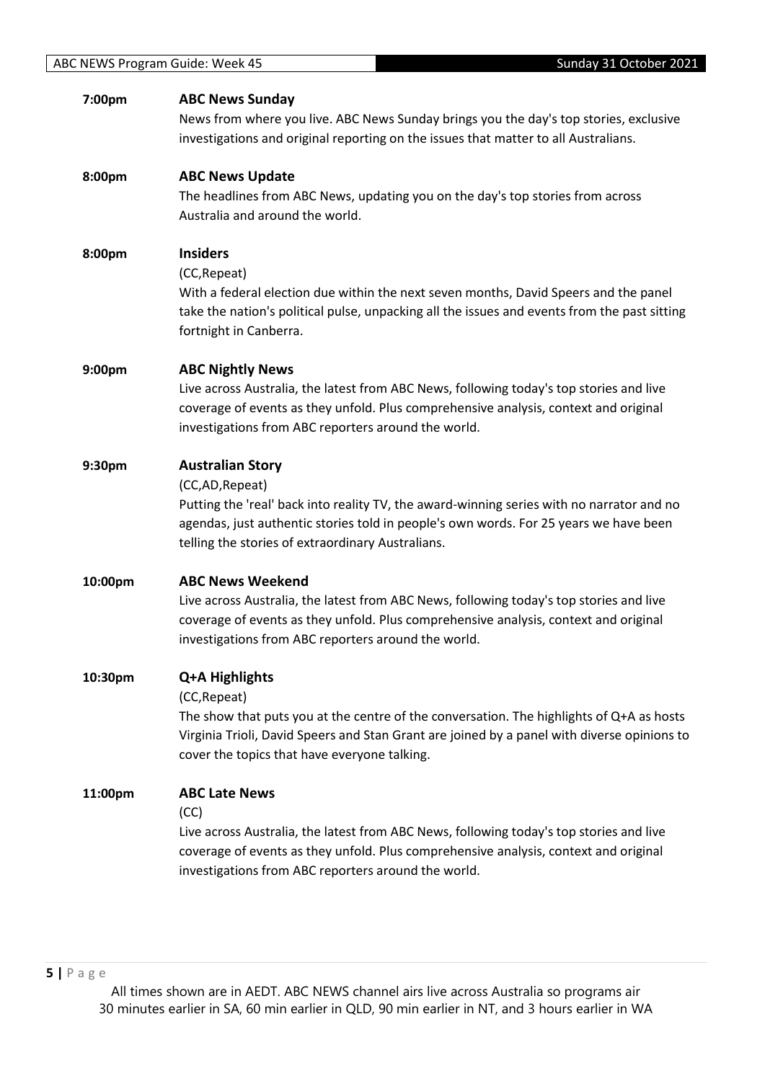| 7:00pm  | <b>ABC News Sunday</b><br>News from where you live. ABC News Sunday brings you the day's top stories, exclusive<br>investigations and original reporting on the issues that matter to all Australians.                                                                                |
|---------|---------------------------------------------------------------------------------------------------------------------------------------------------------------------------------------------------------------------------------------------------------------------------------------|
| 8:00pm  | <b>ABC News Update</b><br>The headlines from ABC News, updating you on the day's top stories from across<br>Australia and around the world.                                                                                                                                           |
| 8:00pm  | <b>Insiders</b><br>(CC, Repeat)<br>With a federal election due within the next seven months, David Speers and the panel<br>take the nation's political pulse, unpacking all the issues and events from the past sitting<br>fortnight in Canberra.                                     |
| 9:00pm  | <b>ABC Nightly News</b><br>Live across Australia, the latest from ABC News, following today's top stories and live<br>coverage of events as they unfold. Plus comprehensive analysis, context and original<br>investigations from ABC reporters around the world.                     |
| 9:30pm  | <b>Australian Story</b><br>(CC,AD, Repeat)<br>Putting the 'real' back into reality TV, the award-winning series with no narrator and no<br>agendas, just authentic stories told in people's own words. For 25 years we have been<br>telling the stories of extraordinary Australians. |
| 10:00pm | <b>ABC News Weekend</b><br>Live across Australia, the latest from ABC News, following today's top stories and live<br>coverage of events as they unfold. Plus comprehensive analysis, context and original<br>investigations from ABC reporters around the world.                     |
| 10:30pm | Q+A Highlights<br>(CC, Repeat)<br>The show that puts you at the centre of the conversation. The highlights of Q+A as hosts<br>Virginia Trioli, David Speers and Stan Grant are joined by a panel with diverse opinions to<br>cover the topics that have everyone talking.             |
| 11:00pm | <b>ABC Late News</b><br>(CC)<br>Live across Australia, the latest from ABC News, following today's top stories and live<br>coverage of events as they unfold. Plus comprehensive analysis, context and original<br>investigations from ABC reporters around the world.                |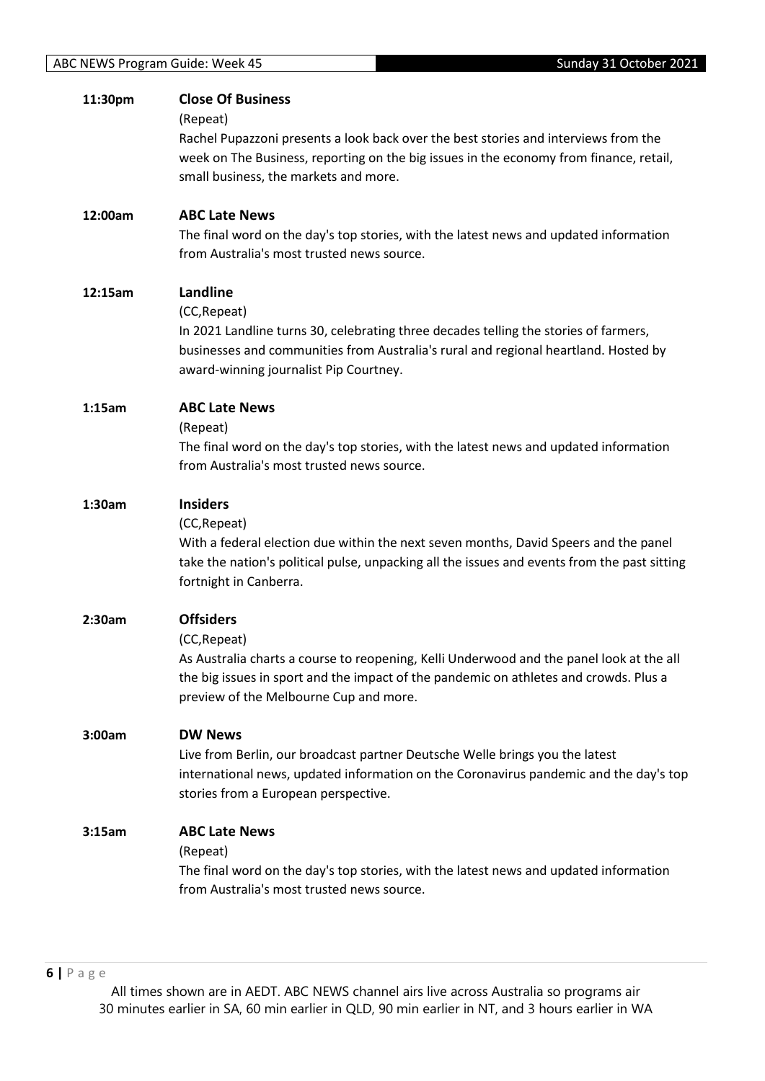| 11:30pm | <b>Close Of Business</b>                                                                                                                                                      |
|---------|-------------------------------------------------------------------------------------------------------------------------------------------------------------------------------|
|         | (Repeat)                                                                                                                                                                      |
|         | Rachel Pupazzoni presents a look back over the best stories and interviews from the<br>week on The Business, reporting on the big issues in the economy from finance, retail, |
|         | small business, the markets and more.                                                                                                                                         |
|         |                                                                                                                                                                               |
| 12:00am | <b>ABC Late News</b>                                                                                                                                                          |
|         | The final word on the day's top stories, with the latest news and updated information                                                                                         |
|         | from Australia's most trusted news source.                                                                                                                                    |
| 12:15am | Landline                                                                                                                                                                      |
|         | (CC, Repeat)                                                                                                                                                                  |
|         | In 2021 Landline turns 30, celebrating three decades telling the stories of farmers,                                                                                          |
|         | businesses and communities from Australia's rural and regional heartland. Hosted by                                                                                           |
|         | award-winning journalist Pip Courtney.                                                                                                                                        |
|         |                                                                                                                                                                               |
| 1:15am  | <b>ABC Late News</b><br>(Repeat)                                                                                                                                              |
|         | The final word on the day's top stories, with the latest news and updated information                                                                                         |
|         | from Australia's most trusted news source.                                                                                                                                    |
| 1:30am  | <b>Insiders</b>                                                                                                                                                               |
|         | (CC, Repeat)                                                                                                                                                                  |
|         | With a federal election due within the next seven months, David Speers and the panel                                                                                          |
|         | take the nation's political pulse, unpacking all the issues and events from the past sitting                                                                                  |
|         | fortnight in Canberra.                                                                                                                                                        |
| 2:30am  | <b>Offsiders</b>                                                                                                                                                              |
|         | (CC, Repeat)                                                                                                                                                                  |
|         | As Australia charts a course to reopening, Kelli Underwood and the panel look at the all                                                                                      |
|         | the big issues in sport and the impact of the pandemic on athletes and crowds. Plus a                                                                                         |
|         | preview of the Melbourne Cup and more.                                                                                                                                        |
| 3:00am  | <b>DW News</b>                                                                                                                                                                |
|         | Live from Berlin, our broadcast partner Deutsche Welle brings you the latest                                                                                                  |
|         | international news, updated information on the Coronavirus pandemic and the day's top                                                                                         |
|         | stories from a European perspective.                                                                                                                                          |
| 3:15am  | <b>ABC Late News</b>                                                                                                                                                          |
|         | (Repeat)                                                                                                                                                                      |
|         | The final word on the day's top stories, with the latest news and updated information                                                                                         |
|         | from Australia's most trusted news source.                                                                                                                                    |
|         |                                                                                                                                                                               |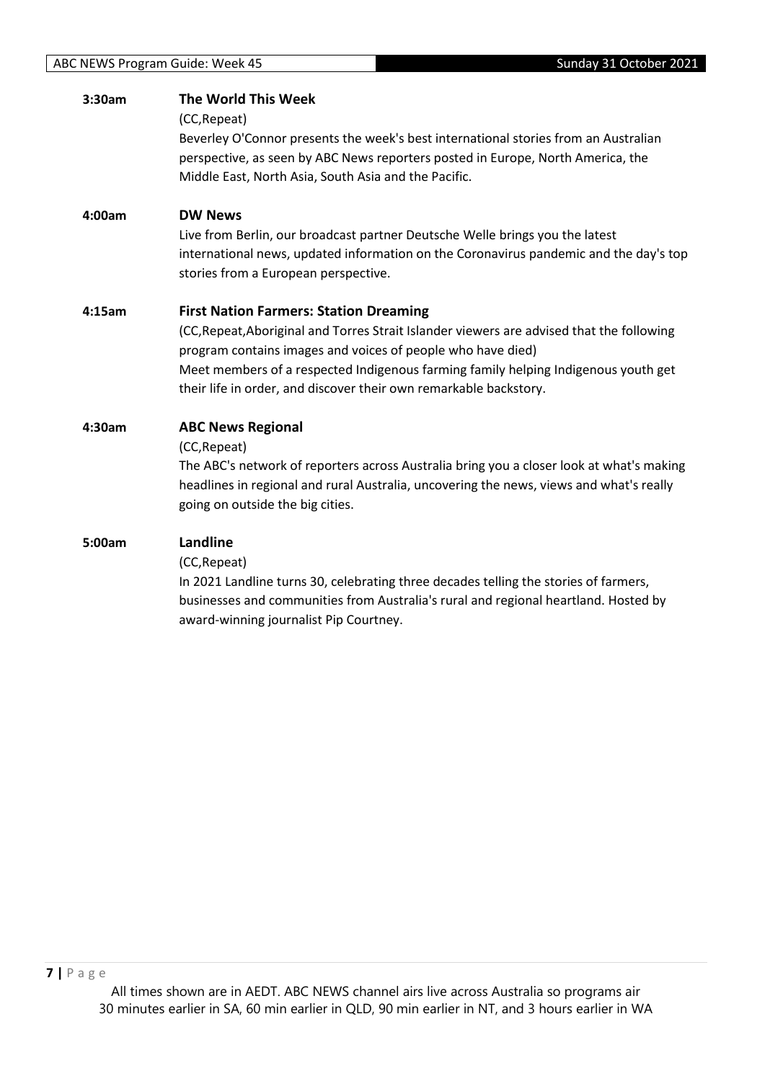| 3:30am | The World This Week                                                                       |
|--------|-------------------------------------------------------------------------------------------|
|        | (CC, Repeat)                                                                              |
|        | Beverley O'Connor presents the week's best international stories from an Australian       |
|        | perspective, as seen by ABC News reporters posted in Europe, North America, the           |
|        | Middle East, North Asia, South Asia and the Pacific.                                      |
| 4:00am | <b>DW News</b>                                                                            |
|        | Live from Berlin, our broadcast partner Deutsche Welle brings you the latest              |
|        | international news, updated information on the Coronavirus pandemic and the day's top     |
|        | stories from a European perspective.                                                      |
| 4:15am | <b>First Nation Farmers: Station Dreaming</b>                                             |
|        | (CC, Repeat, Aboriginal and Torres Strait Islander viewers are advised that the following |
|        | program contains images and voices of people who have died)                               |
|        | Meet members of a respected Indigenous farming family helping Indigenous youth get        |
|        | their life in order, and discover their own remarkable backstory.                         |
| 4:30am | <b>ABC News Regional</b>                                                                  |
|        | (CC, Repeat)                                                                              |
|        | The ABC's network of reporters across Australia bring you a closer look at what's making  |
|        | headlines in regional and rural Australia, uncovering the news, views and what's really   |
|        | going on outside the big cities.                                                          |
| 5:00am | Landline                                                                                  |
|        | (CC, Repeat)                                                                              |
|        | In 2021 Landline turns 30, celebrating three decades telling the stories of farmers,      |
|        | businesses and communities from Australia's rural and regional heartland. Hosted by       |
|        | award-winning journalist Pip Courtney.                                                    |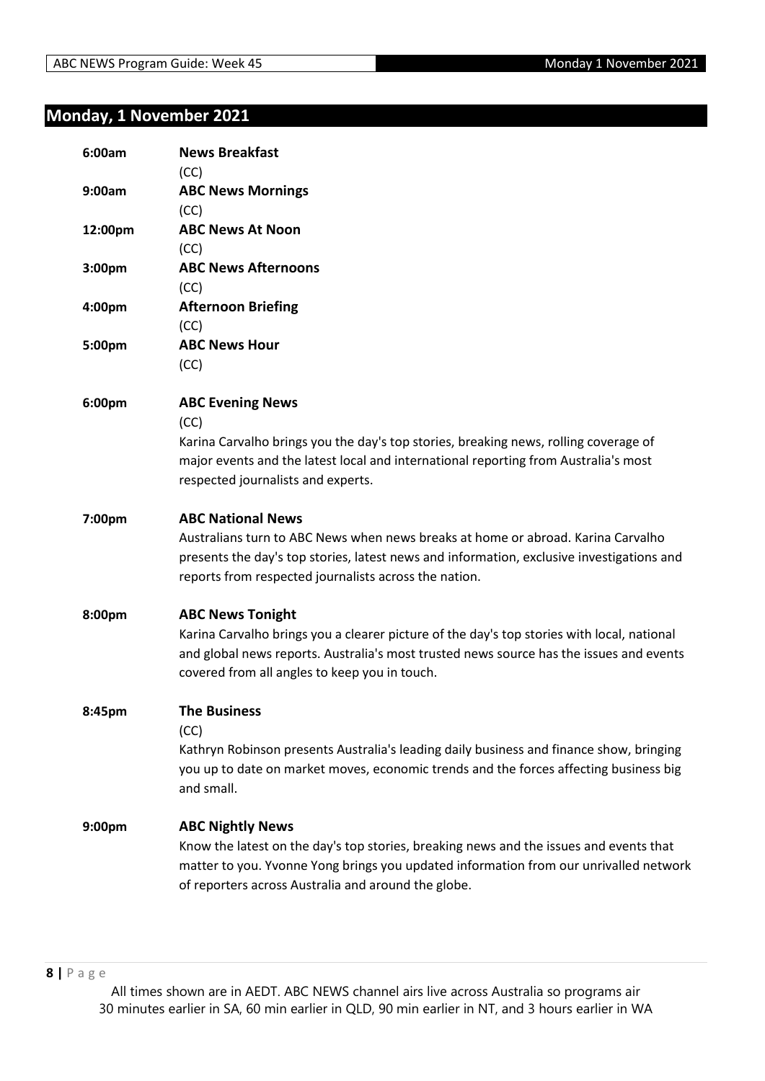## <span id="page-7-0"></span>**Monday, 1 November 2021**

| 6:00am  | <b>News Breakfast</b><br>(CC)                                                                                                                                                                                                                                      |
|---------|--------------------------------------------------------------------------------------------------------------------------------------------------------------------------------------------------------------------------------------------------------------------|
| 9:00am  | <b>ABC News Mornings</b><br>(CC)                                                                                                                                                                                                                                   |
| 12:00pm | <b>ABC News At Noon</b><br>(CC)                                                                                                                                                                                                                                    |
| 3:00pm  | <b>ABC News Afternoons</b><br>(CC)                                                                                                                                                                                                                                 |
| 4:00pm  | <b>Afternoon Briefing</b><br>(CC)                                                                                                                                                                                                                                  |
| 5:00pm  | <b>ABC News Hour</b><br>(CC)                                                                                                                                                                                                                                       |
| 6:00pm  | <b>ABC Evening News</b><br>(CC)<br>Karina Carvalho brings you the day's top stories, breaking news, rolling coverage of<br>major events and the latest local and international reporting from Australia's most<br>respected journalists and experts.               |
| 7:00pm  | <b>ABC National News</b><br>Australians turn to ABC News when news breaks at home or abroad. Karina Carvalho<br>presents the day's top stories, latest news and information, exclusive investigations and<br>reports from respected journalists across the nation. |
| 8:00pm  | <b>ABC News Tonight</b><br>Karina Carvalho brings you a clearer picture of the day's top stories with local, national<br>and global news reports. Australia's most trusted news source has the issues and events<br>covered from all angles to keep you in touch.  |
| 8:45pm  | <b>The Business</b><br>(CC)<br>Kathryn Robinson presents Australia's leading daily business and finance show, bringing<br>you up to date on market moves, economic trends and the forces affecting business big<br>and small.                                      |
| 9:00pm  | <b>ABC Nightly News</b><br>Know the latest on the day's top stories, breaking news and the issues and events that<br>matter to you. Yvonne Yong brings you updated information from our unrivalled network<br>of reporters across Australia and around the globe.  |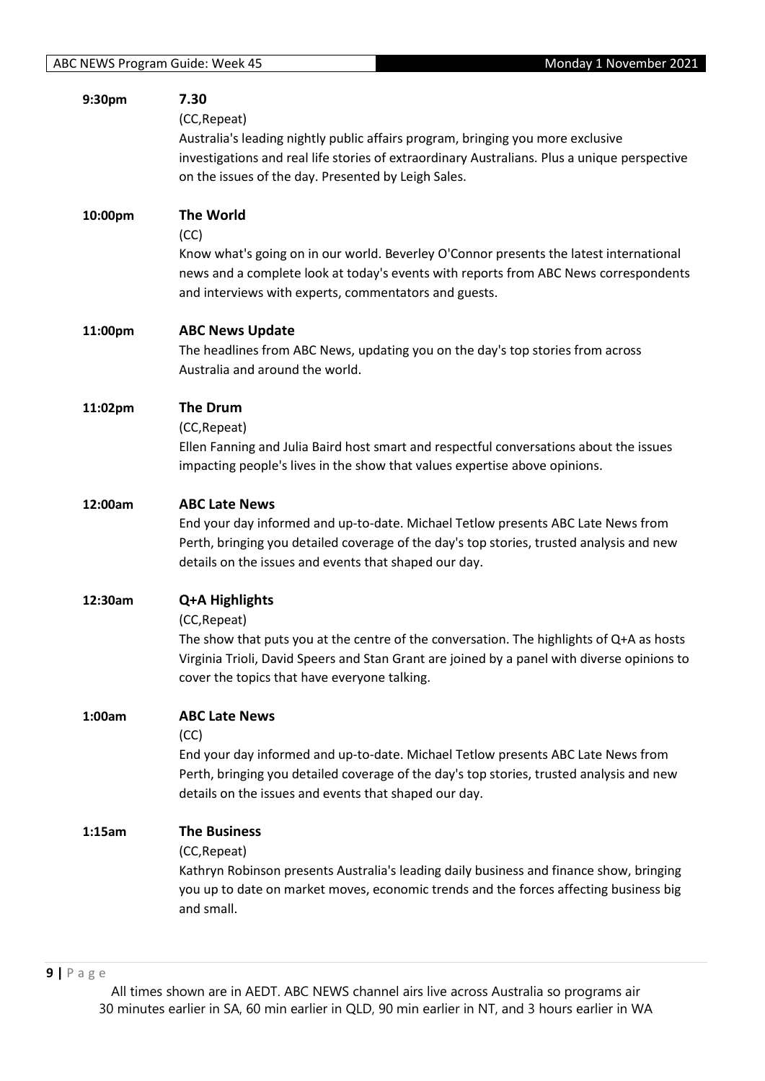| 9:30pm  | 7.30<br>(CC, Repeat)<br>Australia's leading nightly public affairs program, bringing you more exclusive<br>investigations and real life stories of extraordinary Australians. Plus a unique perspective<br>on the issues of the day. Presented by Leigh Sales.            |
|---------|---------------------------------------------------------------------------------------------------------------------------------------------------------------------------------------------------------------------------------------------------------------------------|
| 10:00pm | <b>The World</b><br>(CC)<br>Know what's going on in our world. Beverley O'Connor presents the latest international<br>news and a complete look at today's events with reports from ABC News correspondents<br>and interviews with experts, commentators and guests.       |
| 11:00pm | <b>ABC News Update</b><br>The headlines from ABC News, updating you on the day's top stories from across<br>Australia and around the world.                                                                                                                               |
| 11:02pm | <b>The Drum</b><br>(CC, Repeat)<br>Ellen Fanning and Julia Baird host smart and respectful conversations about the issues<br>impacting people's lives in the show that values expertise above opinions.                                                                   |
| 12:00am | <b>ABC Late News</b><br>End your day informed and up-to-date. Michael Tetlow presents ABC Late News from<br>Perth, bringing you detailed coverage of the day's top stories, trusted analysis and new<br>details on the issues and events that shaped our day.             |
| 12:30am | Q+A Highlights<br>(CC, Repeat)<br>The show that puts you at the centre of the conversation. The highlights of Q+A as hosts<br>Virginia Trioli, David Speers and Stan Grant are joined by a panel with diverse opinions to<br>cover the topics that have everyone talking. |
| 1:00am  | <b>ABC Late News</b><br>(CC)<br>End your day informed and up-to-date. Michael Tetlow presents ABC Late News from<br>Perth, bringing you detailed coverage of the day's top stories, trusted analysis and new<br>details on the issues and events that shaped our day.     |
| 1:15am  | <b>The Business</b><br>(CC, Repeat)<br>Kathryn Robinson presents Australia's leading daily business and finance show, bringing<br>you up to date on market moves, economic trends and the forces affecting business big<br>and small.                                     |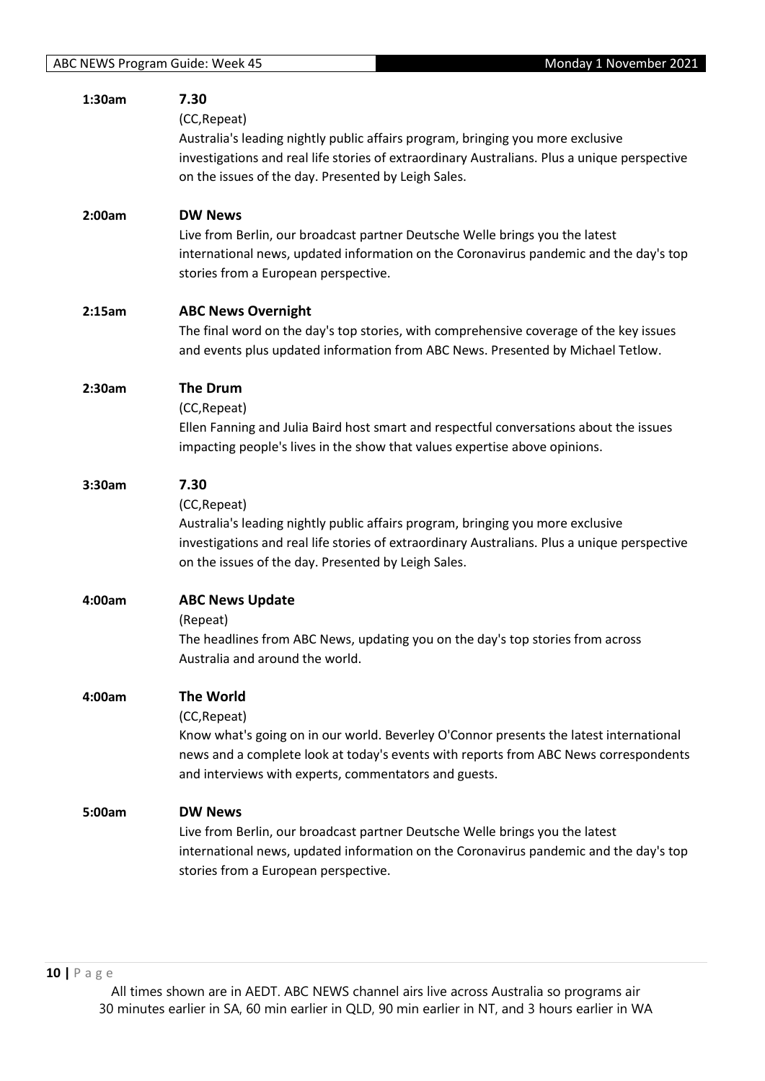| 1:30am | 7.30                                                                                                                                          |
|--------|-----------------------------------------------------------------------------------------------------------------------------------------------|
|        | (CC, Repeat)                                                                                                                                  |
|        | Australia's leading nightly public affairs program, bringing you more exclusive                                                               |
|        | investigations and real life stories of extraordinary Australians. Plus a unique perspective                                                  |
|        | on the issues of the day. Presented by Leigh Sales.                                                                                           |
| 2:00am | <b>DW News</b>                                                                                                                                |
|        | Live from Berlin, our broadcast partner Deutsche Welle brings you the latest                                                                  |
|        | international news, updated information on the Coronavirus pandemic and the day's top                                                         |
|        | stories from a European perspective.                                                                                                          |
| 2:15am | <b>ABC News Overnight</b>                                                                                                                     |
|        | The final word on the day's top stories, with comprehensive coverage of the key issues                                                        |
|        | and events plus updated information from ABC News. Presented by Michael Tetlow.                                                               |
| 2:30am | <b>The Drum</b>                                                                                                                               |
|        | (CC, Repeat)                                                                                                                                  |
|        | Ellen Fanning and Julia Baird host smart and respectful conversations about the issues                                                        |
|        | impacting people's lives in the show that values expertise above opinions.                                                                    |
| 3:30am | 7.30                                                                                                                                          |
|        | (CC, Repeat)                                                                                                                                  |
|        | Australia's leading nightly public affairs program, bringing you more exclusive                                                               |
|        | investigations and real life stories of extraordinary Australians. Plus a unique perspective                                                  |
|        | on the issues of the day. Presented by Leigh Sales.                                                                                           |
| 4:00am | <b>ABC News Update</b>                                                                                                                        |
|        | (Repeat)                                                                                                                                      |
|        | The headlines from ABC News, updating you on the day's top stories from across                                                                |
|        | Australia and around the world.                                                                                                               |
| 4:00am | <b>The World</b>                                                                                                                              |
|        | (CC, Repeat)                                                                                                                                  |
|        | Know what's going on in our world. Beverley O'Connor presents the latest international                                                        |
|        | news and a complete look at today's events with reports from ABC News correspondents<br>and interviews with experts, commentators and guests. |
|        |                                                                                                                                               |
| 5:00am | <b>DW News</b>                                                                                                                                |
|        | Live from Berlin, our broadcast partner Deutsche Welle brings you the latest                                                                  |
|        | international news, updated information on the Coronavirus pandemic and the day's top                                                         |
|        | stories from a European perspective.                                                                                                          |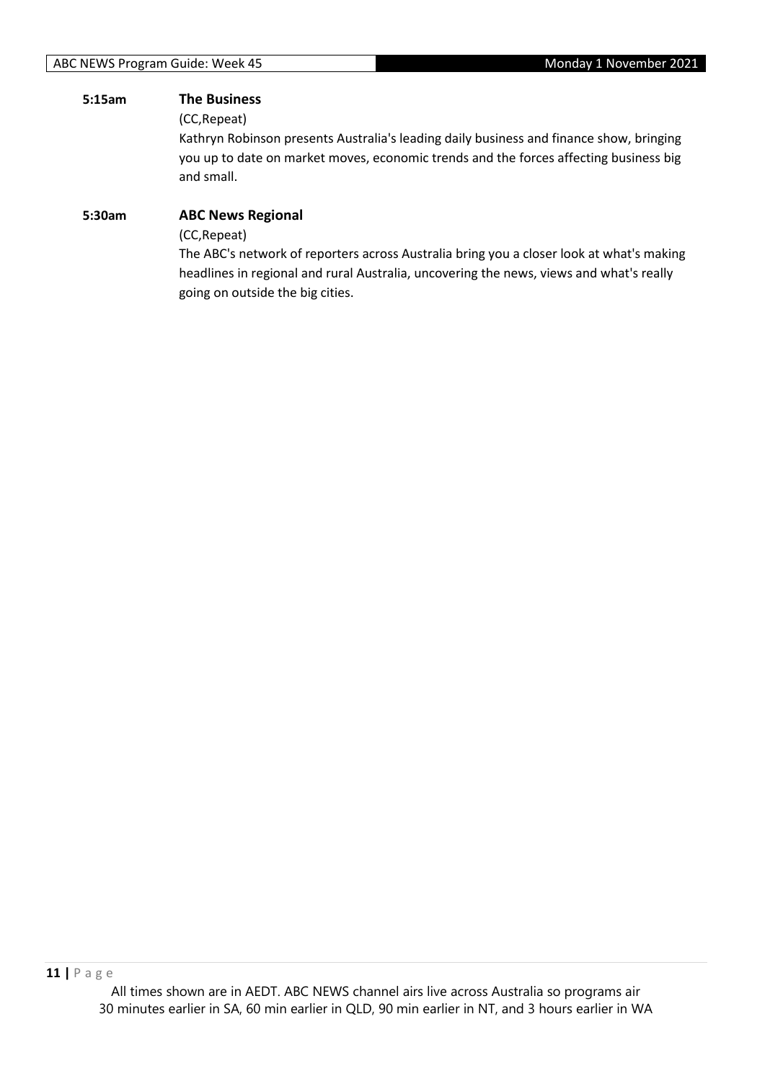#### **5:15am The Business**

(CC,Repeat)

Kathryn Robinson presents Australia's leading daily business and finance show, bringing you up to date on market moves, economic trends and the forces affecting business big and small.

## **5:30am ABC News Regional** (CC,Repeat) The ABC's network of reporters across Australia bring you a closer look at what's making

headlines in regional and rural Australia, uncovering the news, views and what's really going on outside the big cities.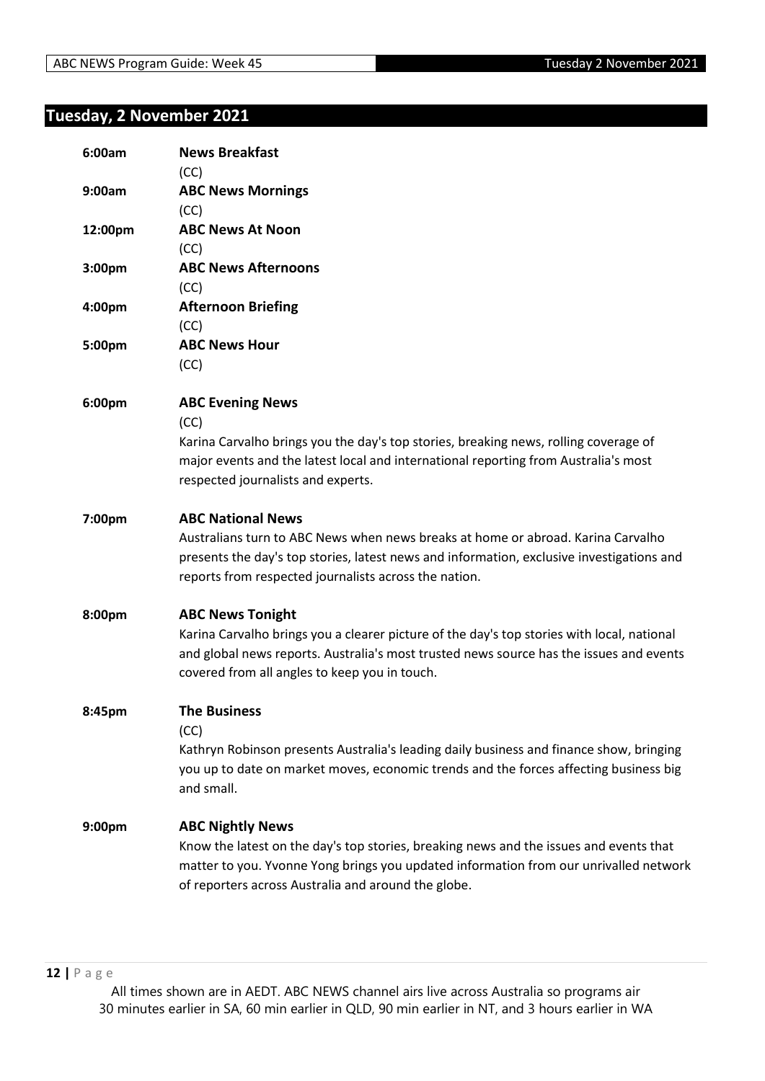## <span id="page-11-0"></span>**Tuesday, 2 November 2021**

| 6:00am             | <b>News Breakfast</b>                                                                      |
|--------------------|--------------------------------------------------------------------------------------------|
|                    | (CC)                                                                                       |
| 9:00am             | <b>ABC News Mornings</b>                                                                   |
|                    | (CC)                                                                                       |
| 12:00pm            | <b>ABC News At Noon</b>                                                                    |
|                    | (CC)                                                                                       |
| 3:00pm             | <b>ABC News Afternoons</b>                                                                 |
|                    | (CC)                                                                                       |
| 4:00pm             | <b>Afternoon Briefing</b>                                                                  |
|                    | (CC)                                                                                       |
| 5:00pm             | <b>ABC News Hour</b>                                                                       |
|                    | (CC)                                                                                       |
| 6:00pm             | <b>ABC Evening News</b>                                                                    |
|                    | (CC)                                                                                       |
|                    | Karina Carvalho brings you the day's top stories, breaking news, rolling coverage of       |
|                    | major events and the latest local and international reporting from Australia's most        |
|                    | respected journalists and experts.                                                         |
| 7:00pm             | <b>ABC National News</b>                                                                   |
|                    | Australians turn to ABC News when news breaks at home or abroad. Karina Carvalho           |
|                    | presents the day's top stories, latest news and information, exclusive investigations and  |
|                    | reports from respected journalists across the nation.                                      |
| 8:00pm             | <b>ABC News Tonight</b>                                                                    |
|                    | Karina Carvalho brings you a clearer picture of the day's top stories with local, national |
|                    | and global news reports. Australia's most trusted news source has the issues and events    |
|                    | covered from all angles to keep you in touch.                                              |
| 8:45pm             | <b>The Business</b>                                                                        |
|                    | (CC)                                                                                       |
|                    | Kathryn Robinson presents Australia's leading daily business and finance show, bringing    |
|                    | you up to date on market moves, economic trends and the forces affecting business big      |
|                    | and small.                                                                                 |
| 9:00 <sub>pm</sub> | <b>ABC Nightly News</b>                                                                    |
|                    | Know the latest on the day's top stories, breaking news and the issues and events that     |
|                    | matter to you. Yvonne Yong brings you updated information from our unrivalled network      |
|                    | of reporters across Australia and around the globe.                                        |
|                    |                                                                                            |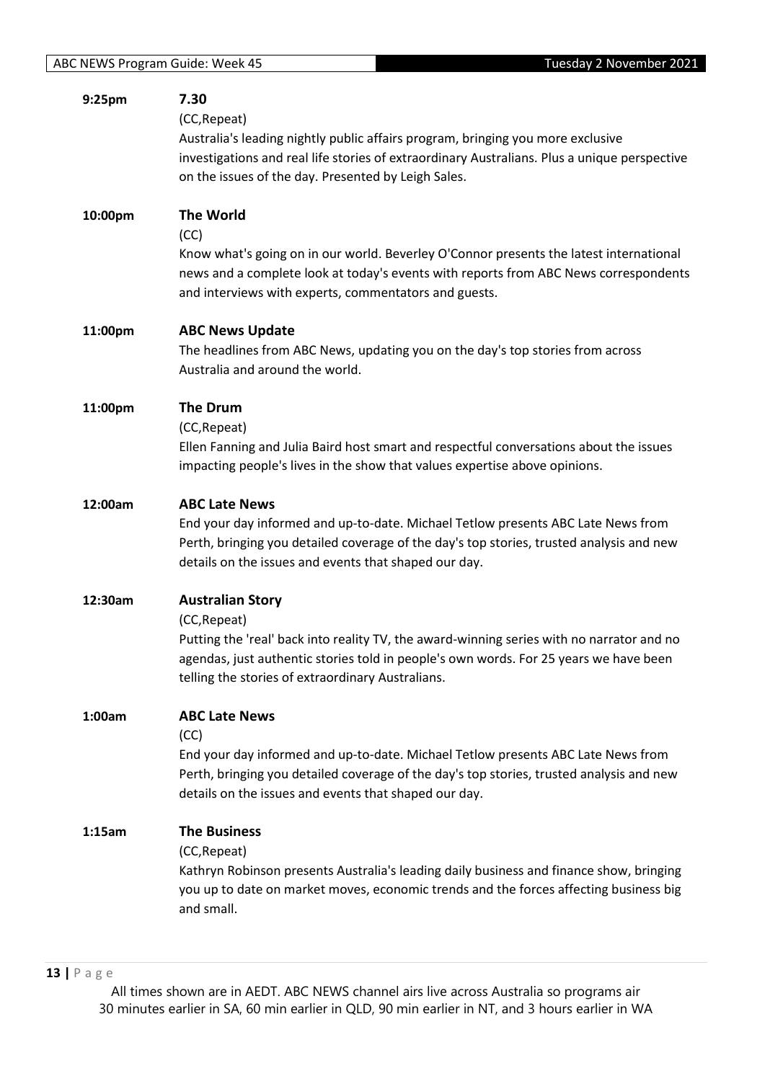| 9:25pm  | 7.30<br>(CC, Repeat)<br>Australia's leading nightly public affairs program, bringing you more exclusive<br>investigations and real life stories of extraordinary Australians. Plus a unique perspective<br>on the issues of the day. Presented by Leigh Sales.                     |
|---------|------------------------------------------------------------------------------------------------------------------------------------------------------------------------------------------------------------------------------------------------------------------------------------|
| 10:00pm | <b>The World</b><br>(CC)<br>Know what's going on in our world. Beverley O'Connor presents the latest international<br>news and a complete look at today's events with reports from ABC News correspondents<br>and interviews with experts, commentators and guests.                |
| 11:00pm | <b>ABC News Update</b><br>The headlines from ABC News, updating you on the day's top stories from across<br>Australia and around the world.                                                                                                                                        |
| 11:00pm | <b>The Drum</b><br>(CC, Repeat)<br>Ellen Fanning and Julia Baird host smart and respectful conversations about the issues<br>impacting people's lives in the show that values expertise above opinions.                                                                            |
| 12:00am | <b>ABC Late News</b><br>End your day informed and up-to-date. Michael Tetlow presents ABC Late News from<br>Perth, bringing you detailed coverage of the day's top stories, trusted analysis and new<br>details on the issues and events that shaped our day.                      |
| 12:30am | <b>Australian Story</b><br>(CC, Repeat)<br>Putting the 'real' back into reality TV, the award-winning series with no narrator and no<br>agendas, just authentic stories told in people's own words. For 25 years we have been<br>telling the stories of extraordinary Australians. |
| 1:00am  | <b>ABC Late News</b><br>(CC)<br>End your day informed and up-to-date. Michael Tetlow presents ABC Late News from<br>Perth, bringing you detailed coverage of the day's top stories, trusted analysis and new<br>details on the issues and events that shaped our day.              |
| 1:15am  | <b>The Business</b><br>(CC, Repeat)<br>Kathryn Robinson presents Australia's leading daily business and finance show, bringing<br>you up to date on market moves, economic trends and the forces affecting business big<br>and small.                                              |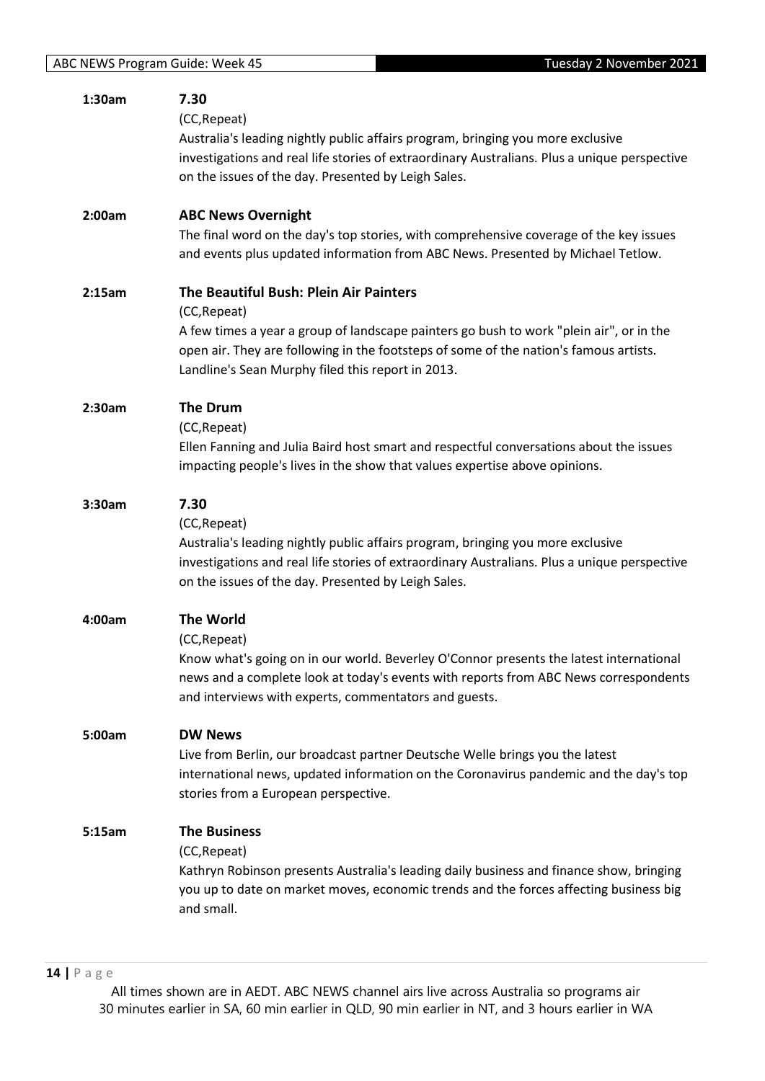| 1:30am | 7.30<br>(CC, Repeat)<br>Australia's leading nightly public affairs program, bringing you more exclusive<br>investigations and real life stories of extraordinary Australians. Plus a unique perspective<br>on the issues of the day. Presented by Leigh Sales.                                  |
|--------|-------------------------------------------------------------------------------------------------------------------------------------------------------------------------------------------------------------------------------------------------------------------------------------------------|
| 2:00am | <b>ABC News Overnight</b><br>The final word on the day's top stories, with comprehensive coverage of the key issues<br>and events plus updated information from ABC News. Presented by Michael Tetlow.                                                                                          |
| 2:15am | The Beautiful Bush: Plein Air Painters<br>(CC, Repeat)<br>A few times a year a group of landscape painters go bush to work "plein air", or in the<br>open air. They are following in the footsteps of some of the nation's famous artists.<br>Landline's Sean Murphy filed this report in 2013. |
| 2:30am | <b>The Drum</b><br>(CC, Repeat)<br>Ellen Fanning and Julia Baird host smart and respectful conversations about the issues<br>impacting people's lives in the show that values expertise above opinions.                                                                                         |
| 3:30am | 7.30<br>(CC, Repeat)<br>Australia's leading nightly public affairs program, bringing you more exclusive<br>investigations and real life stories of extraordinary Australians. Plus a unique perspective<br>on the issues of the day. Presented by Leigh Sales.                                  |
| 4:00am | <b>The World</b><br>(CC, Repeat)<br>Know what's going on in our world. Beverley O'Connor presents the latest international<br>news and a complete look at today's events with reports from ABC News correspondents<br>and interviews with experts, commentators and guests.                     |
| 5:00am | <b>DW News</b><br>Live from Berlin, our broadcast partner Deutsche Welle brings you the latest<br>international news, updated information on the Coronavirus pandemic and the day's top<br>stories from a European perspective.                                                                 |
| 5:15am | <b>The Business</b><br>(CC, Repeat)<br>Kathryn Robinson presents Australia's leading daily business and finance show, bringing<br>you up to date on market moves, economic trends and the forces affecting business big<br>and small.                                                           |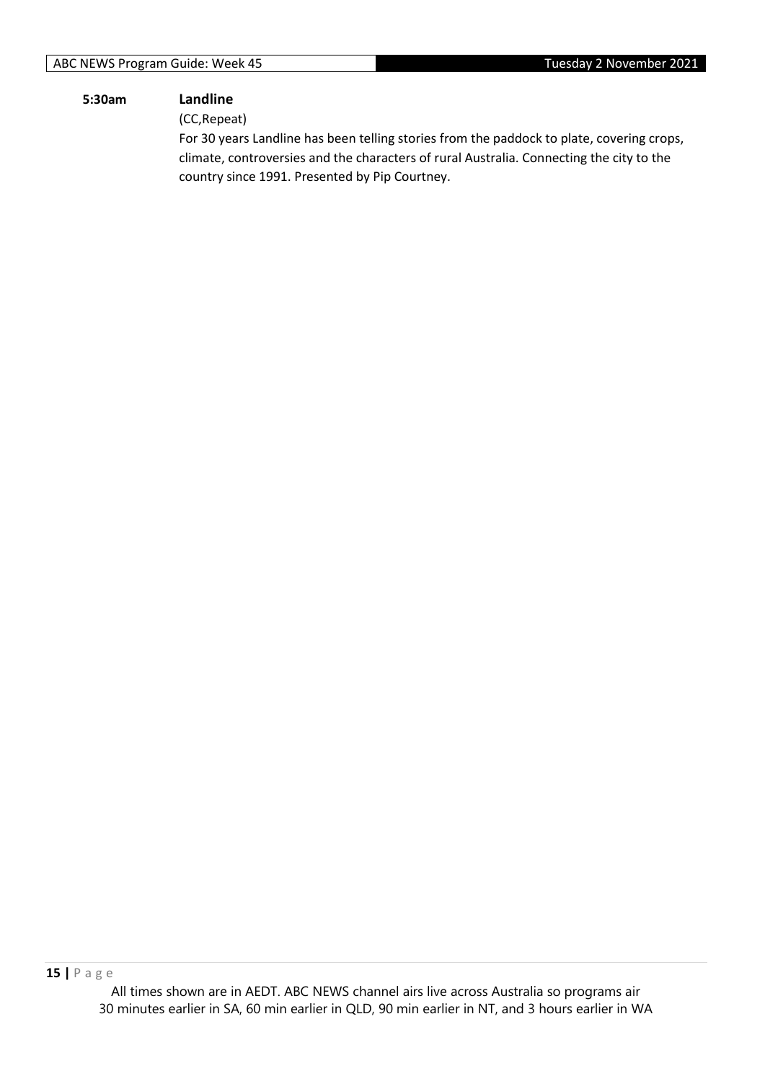#### **5:30am Landline**

(CC,Repeat)

For 30 years Landline has been telling stories from the paddock to plate, covering crops, climate, controversies and the characters of rural Australia. Connecting the city to the country since 1991. Presented by Pip Courtney.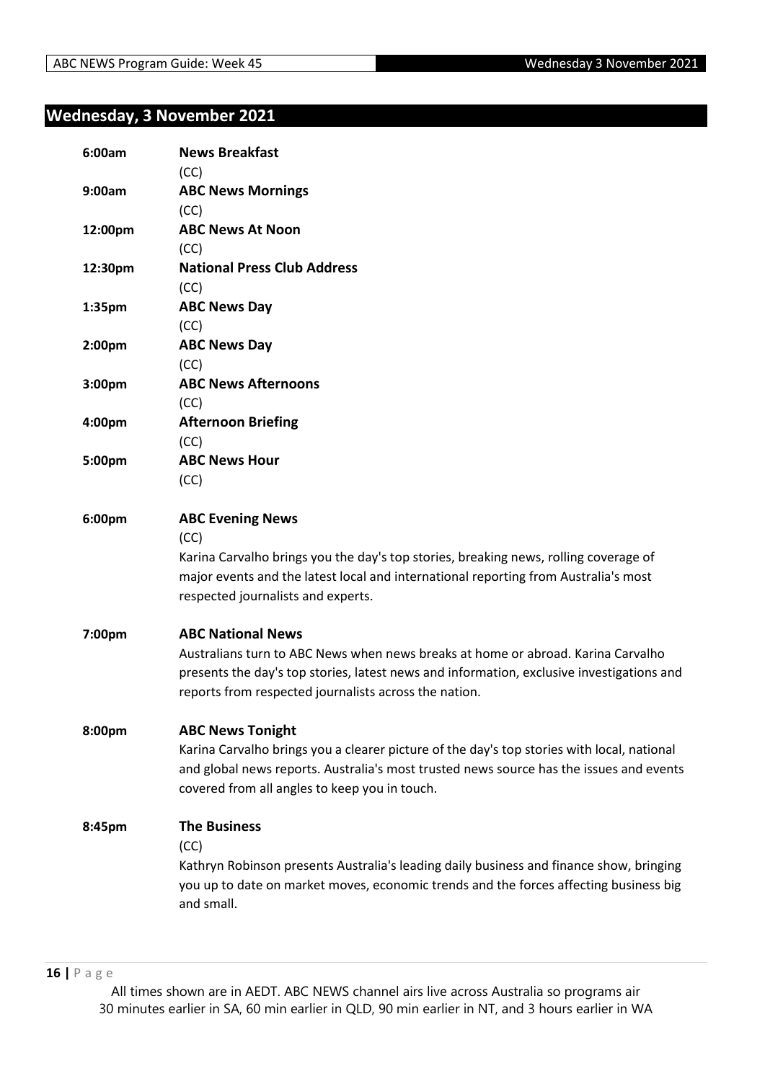## <span id="page-15-0"></span>**Wednesday, 3 November 2021**

| 6:00am             | <b>News Breakfast</b><br>(CC)                                                              |
|--------------------|--------------------------------------------------------------------------------------------|
| 9:00am             | <b>ABC News Mornings</b>                                                                   |
|                    | (CC)                                                                                       |
| 12:00pm            | <b>ABC News At Noon</b>                                                                    |
|                    | (CC)                                                                                       |
| 12:30pm            | <b>National Press Club Address</b>                                                         |
|                    | (CC)                                                                                       |
| 1:35pm             | <b>ABC News Day</b>                                                                        |
|                    | (CC)                                                                                       |
| 2:00 <sub>pm</sub> | <b>ABC News Day</b>                                                                        |
|                    | (CC)                                                                                       |
| 3:00pm             | <b>ABC News Afternoons</b>                                                                 |
|                    | (CC)                                                                                       |
| 4:00pm             | <b>Afternoon Briefing</b>                                                                  |
|                    | (CC)                                                                                       |
| 5:00pm             | <b>ABC News Hour</b>                                                                       |
|                    | (CC)                                                                                       |
| 6:00pm             | <b>ABC Evening News</b>                                                                    |
|                    | (CC)                                                                                       |
|                    | Karina Carvalho brings you the day's top stories, breaking news, rolling coverage of       |
|                    | major events and the latest local and international reporting from Australia's most        |
|                    | respected journalists and experts.                                                         |
| 7:00pm             | <b>ABC National News</b>                                                                   |
|                    | Australians turn to ABC News when news breaks at home or abroad. Karina Carvalho           |
|                    | presents the day's top stories, latest news and information, exclusive investigations and  |
|                    | reports from respected journalists across the nation.                                      |
| 8:00pm             | <b>ABC News Tonight</b>                                                                    |
|                    | Karina Carvalho brings you a clearer picture of the day's top stories with local, national |
|                    | and global news reports. Australia's most trusted news source has the issues and events    |
|                    | covered from all angles to keep you in touch.                                              |
| 8:45pm             | <b>The Business</b>                                                                        |
|                    | (CC)                                                                                       |
|                    | Kathryn Robinson presents Australia's leading daily business and finance show, bringing    |
|                    | you up to date on market moves, economic trends and the forces affecting business big      |
|                    | and small.                                                                                 |
|                    |                                                                                            |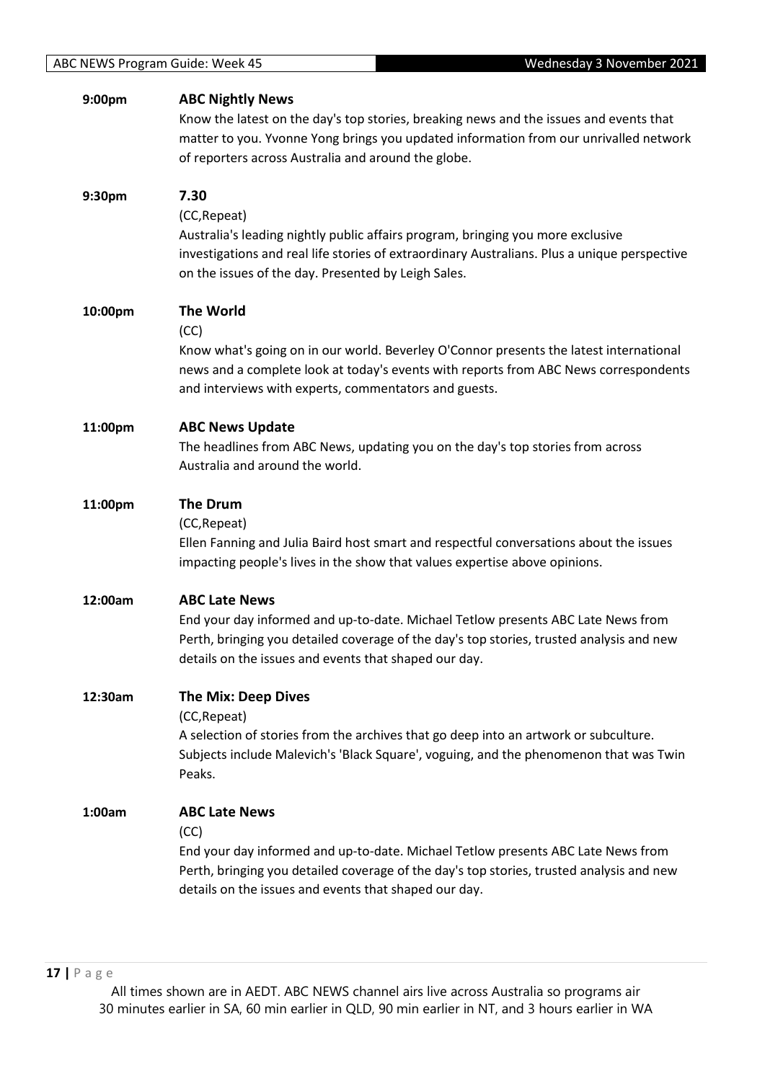| 9:00pm  | <b>ABC Nightly News</b><br>Know the latest on the day's top stories, breaking news and the issues and events that<br>matter to you. Yvonne Yong brings you updated information from our unrivalled network<br>of reporters across Australia and around the globe.     |
|---------|-----------------------------------------------------------------------------------------------------------------------------------------------------------------------------------------------------------------------------------------------------------------------|
| 9:30pm  | 7.30<br>(CC, Repeat)<br>Australia's leading nightly public affairs program, bringing you more exclusive<br>investigations and real life stories of extraordinary Australians. Plus a unique perspective<br>on the issues of the day. Presented by Leigh Sales.        |
| 10:00pm | <b>The World</b><br>(CC)<br>Know what's going on in our world. Beverley O'Connor presents the latest international<br>news and a complete look at today's events with reports from ABC News correspondents<br>and interviews with experts, commentators and guests.   |
| 11:00pm | <b>ABC News Update</b><br>The headlines from ABC News, updating you on the day's top stories from across<br>Australia and around the world.                                                                                                                           |
| 11:00pm | <b>The Drum</b><br>(CC, Repeat)<br>Ellen Fanning and Julia Baird host smart and respectful conversations about the issues<br>impacting people's lives in the show that values expertise above opinions.                                                               |
| 12:00am | <b>ABC Late News</b><br>End your day informed and up-to-date. Michael Tetlow presents ABC Late News from<br>Perth, bringing you detailed coverage of the day's top stories, trusted analysis and new<br>details on the issues and events that shaped our day.         |
| 12:30am | <b>The Mix: Deep Dives</b><br>(CC, Repeat)<br>A selection of stories from the archives that go deep into an artwork or subculture.<br>Subjects include Malevich's 'Black Square', voguing, and the phenomenon that was Twin<br>Peaks.                                 |
| 1:00am  | <b>ABC Late News</b><br>(CC)<br>End your day informed and up-to-date. Michael Tetlow presents ABC Late News from<br>Perth, bringing you detailed coverage of the day's top stories, trusted analysis and new<br>details on the issues and events that shaped our day. |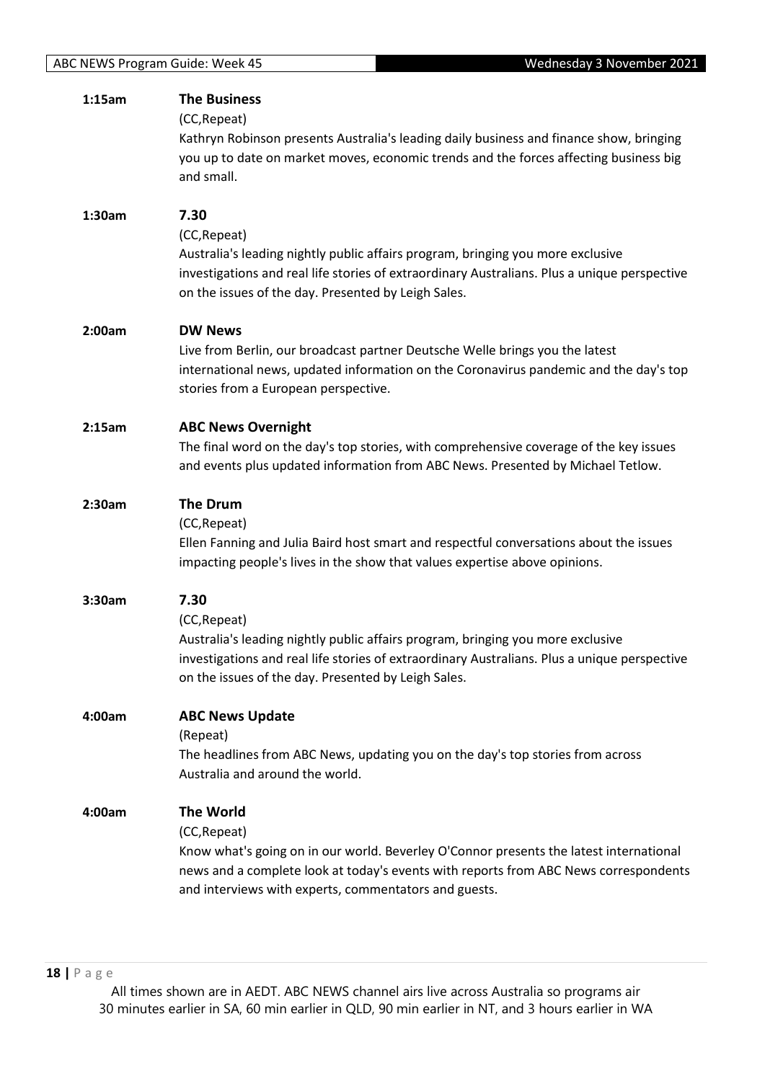| 1:15am | <b>The Business</b><br>(CC, Repeat)<br>Kathryn Robinson presents Australia's leading daily business and finance show, bringing<br>you up to date on market moves, economic trends and the forces affecting business big<br>and small.                                       |
|--------|-----------------------------------------------------------------------------------------------------------------------------------------------------------------------------------------------------------------------------------------------------------------------------|
| 1:30am | 7.30<br>(CC, Repeat)<br>Australia's leading nightly public affairs program, bringing you more exclusive<br>investigations and real life stories of extraordinary Australians. Plus a unique perspective<br>on the issues of the day. Presented by Leigh Sales.              |
| 2:00am | <b>DW News</b><br>Live from Berlin, our broadcast partner Deutsche Welle brings you the latest<br>international news, updated information on the Coronavirus pandemic and the day's top<br>stories from a European perspective.                                             |
| 2:15am | <b>ABC News Overnight</b><br>The final word on the day's top stories, with comprehensive coverage of the key issues<br>and events plus updated information from ABC News. Presented by Michael Tetlow.                                                                      |
| 2:30am | <b>The Drum</b><br>(CC, Repeat)<br>Ellen Fanning and Julia Baird host smart and respectful conversations about the issues<br>impacting people's lives in the show that values expertise above opinions.                                                                     |
| 3:30am | 7.30<br>(CC, Repeat)<br>Australia's leading nightly public affairs program, bringing you more exclusive<br>investigations and real life stories of extraordinary Australians. Plus a unique perspective<br>on the issues of the day. Presented by Leigh Sales.              |
| 4:00am | <b>ABC News Update</b><br>(Repeat)<br>The headlines from ABC News, updating you on the day's top stories from across<br>Australia and around the world.                                                                                                                     |
| 4:00am | <b>The World</b><br>(CC, Repeat)<br>Know what's going on in our world. Beverley O'Connor presents the latest international<br>news and a complete look at today's events with reports from ABC News correspondents<br>and interviews with experts, commentators and guests. |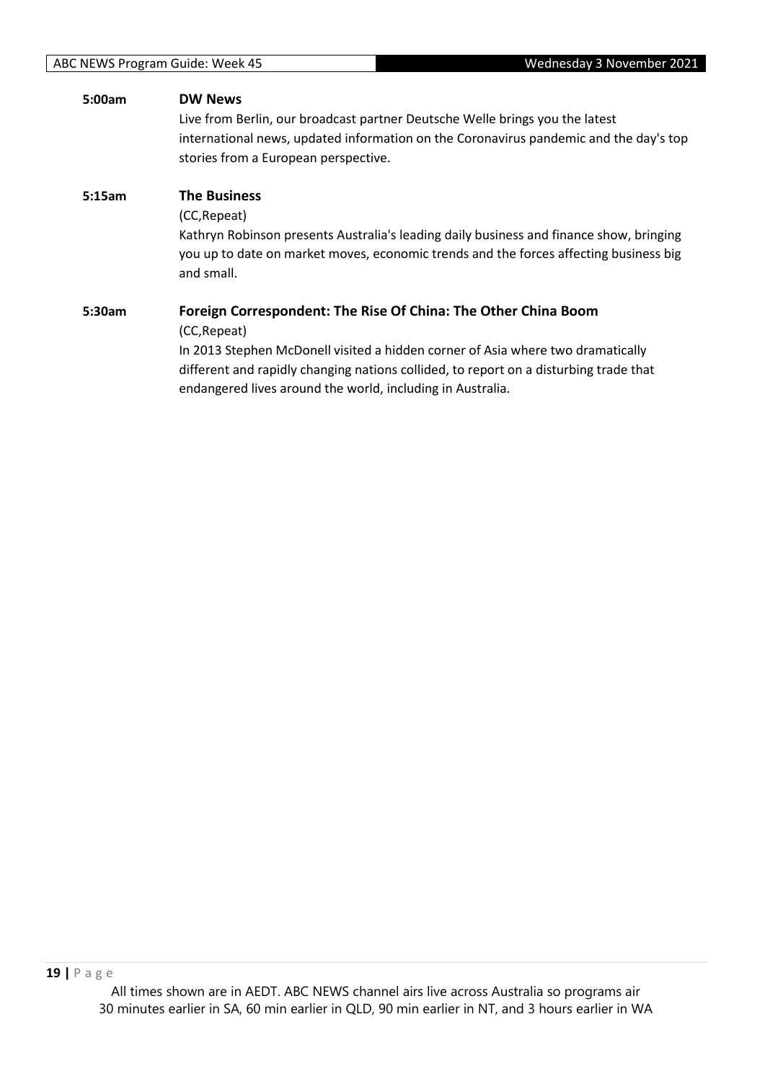| 5:00am | <b>DW News</b>                                                                          |
|--------|-----------------------------------------------------------------------------------------|
|        | Live from Berlin, our broadcast partner Deutsche Welle brings you the latest            |
|        | international news, updated information on the Coronavirus pandemic and the day's top   |
|        | stories from a European perspective.                                                    |
| 5:15am | <b>The Business</b>                                                                     |
|        | (CC, Repeat)                                                                            |
|        | Kathryn Robinson presents Australia's leading daily business and finance show, bringing |
|        | you up to date on market moves, economic trends and the forces affecting business big   |
|        | and small.                                                                              |
| 5:30am | Foreign Correspondent: The Rise Of China: The Other China Boom                          |
|        | (CC, Repeat)                                                                            |
|        | In 2013 Stephen McDonell visited a hidden corner of Asia where two dramatically         |
|        | different and rapidly changing nations collided, to report on a disturbing trade that   |
|        | endangered lives around the world, including in Australia.                              |
|        |                                                                                         |
|        |                                                                                         |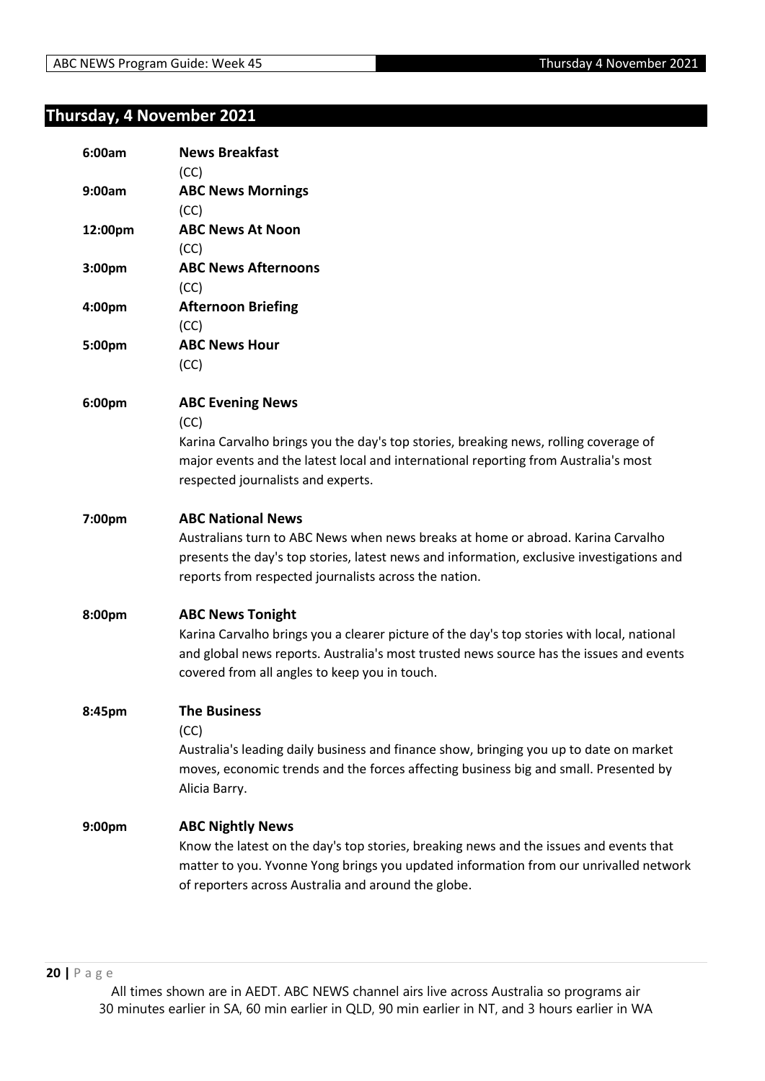# <span id="page-19-0"></span>**Thursday, 4 November 2021**

| 6:00am  | <b>News Breakfast</b><br>(CC)                                                                                                                                                                                                                                      |
|---------|--------------------------------------------------------------------------------------------------------------------------------------------------------------------------------------------------------------------------------------------------------------------|
| 9:00am  | <b>ABC News Mornings</b><br>(CC)                                                                                                                                                                                                                                   |
| 12:00pm | <b>ABC News At Noon</b><br>(CC)                                                                                                                                                                                                                                    |
| 3:00pm  | <b>ABC News Afternoons</b><br>(CC)                                                                                                                                                                                                                                 |
| 4:00pm  | <b>Afternoon Briefing</b><br>(CC)                                                                                                                                                                                                                                  |
| 5:00pm  | <b>ABC News Hour</b><br>(CC)                                                                                                                                                                                                                                       |
| 6:00pm  | <b>ABC Evening News</b><br>(CC)<br>Karina Carvalho brings you the day's top stories, breaking news, rolling coverage of<br>major events and the latest local and international reporting from Australia's most<br>respected journalists and experts.               |
| 7:00pm  | <b>ABC National News</b><br>Australians turn to ABC News when news breaks at home or abroad. Karina Carvalho<br>presents the day's top stories, latest news and information, exclusive investigations and<br>reports from respected journalists across the nation. |
| 8:00pm  | <b>ABC News Tonight</b><br>Karina Carvalho brings you a clearer picture of the day's top stories with local, national<br>and global news reports. Australia's most trusted news source has the issues and events<br>covered from all angles to keep you in touch.  |
| 8:45pm  | <b>The Business</b><br>(CC)<br>Australia's leading daily business and finance show, bringing you up to date on market<br>moves, economic trends and the forces affecting business big and small. Presented by<br>Alicia Barry.                                     |
| 9:00pm  | <b>ABC Nightly News</b><br>Know the latest on the day's top stories, breaking news and the issues and events that<br>matter to you. Yvonne Yong brings you updated information from our unrivalled network<br>of reporters across Australia and around the globe.  |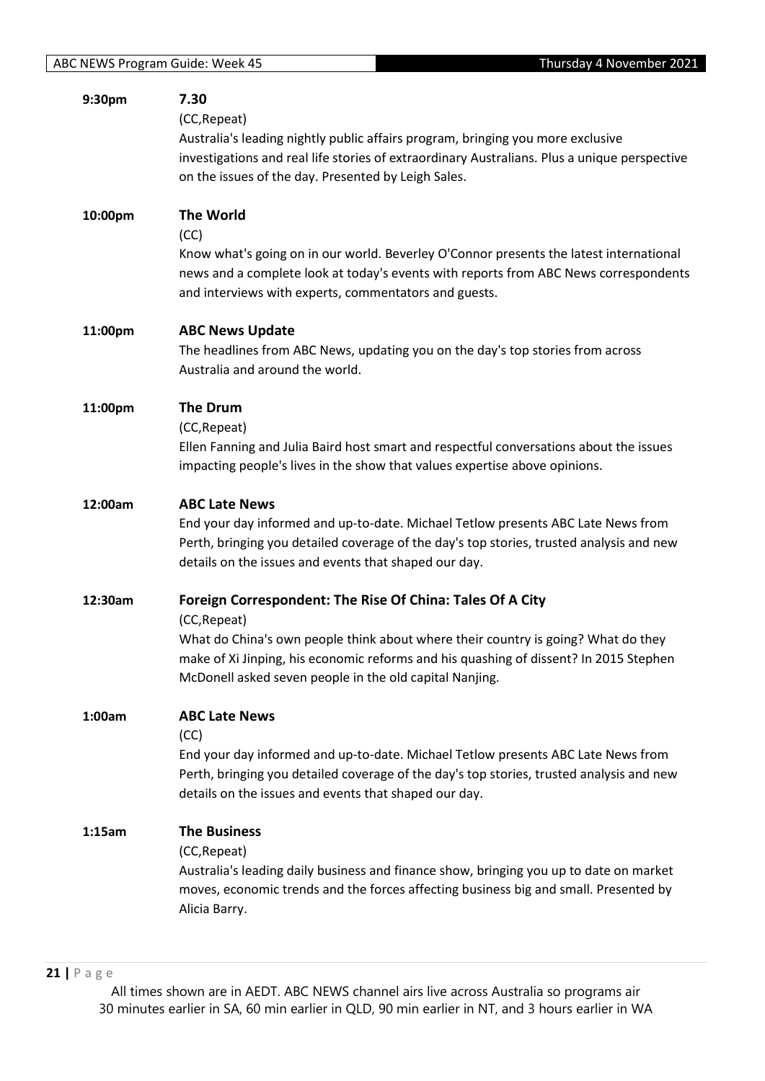| 9:30pm  | 7.30<br>(CC, Repeat)<br>Australia's leading nightly public affairs program, bringing you more exclusive<br>investigations and real life stories of extraordinary Australians. Plus a unique perspective<br>on the issues of the day. Presented by Leigh Sales.                                                     |
|---------|--------------------------------------------------------------------------------------------------------------------------------------------------------------------------------------------------------------------------------------------------------------------------------------------------------------------|
| 10:00pm | <b>The World</b><br>(CC)<br>Know what's going on in our world. Beverley O'Connor presents the latest international<br>news and a complete look at today's events with reports from ABC News correspondents<br>and interviews with experts, commentators and guests.                                                |
| 11:00pm | <b>ABC News Update</b><br>The headlines from ABC News, updating you on the day's top stories from across<br>Australia and around the world.                                                                                                                                                                        |
| 11:00pm | <b>The Drum</b><br>(CC, Repeat)<br>Ellen Fanning and Julia Baird host smart and respectful conversations about the issues<br>impacting people's lives in the show that values expertise above opinions.                                                                                                            |
| 12:00am | <b>ABC Late News</b><br>End your day informed and up-to-date. Michael Tetlow presents ABC Late News from<br>Perth, bringing you detailed coverage of the day's top stories, trusted analysis and new<br>details on the issues and events that shaped our day.                                                      |
| 12:30am | Foreign Correspondent: The Rise Of China: Tales Of A City<br>(CC, Repeat)<br>What do China's own people think about where their country is going? What do they<br>make of Xi Jinping, his economic reforms and his quashing of dissent? In 2015 Stephen<br>McDonell asked seven people in the old capital Nanjing. |
| 1:00am  | <b>ABC Late News</b><br>(CC)<br>End your day informed and up-to-date. Michael Tetlow presents ABC Late News from<br>Perth, bringing you detailed coverage of the day's top stories, trusted analysis and new<br>details on the issues and events that shaped our day.                                              |
| 1:15am  | <b>The Business</b><br>(CC, Repeat)<br>Australia's leading daily business and finance show, bringing you up to date on market<br>moves, economic trends and the forces affecting business big and small. Presented by<br>Alicia Barry.                                                                             |

**21 |** P a g e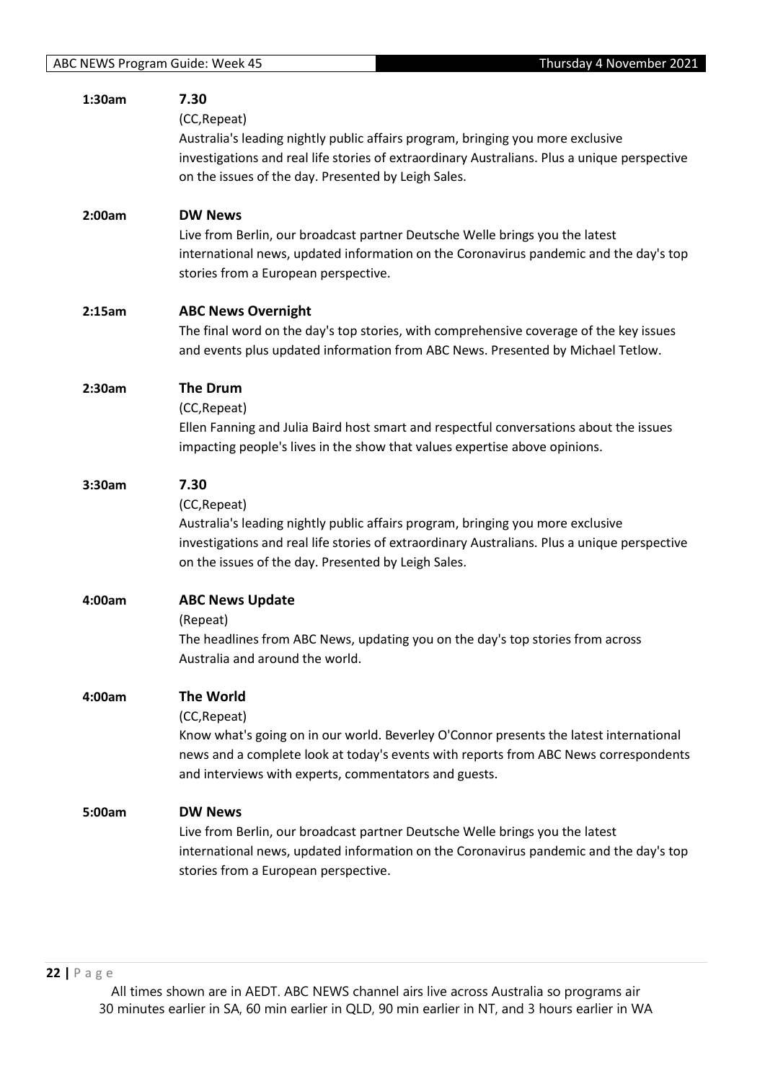| 1:30am | 7.30                                                                                         |
|--------|----------------------------------------------------------------------------------------------|
|        | (CC, Repeat)                                                                                 |
|        | Australia's leading nightly public affairs program, bringing you more exclusive              |
|        | investigations and real life stories of extraordinary Australians. Plus a unique perspective |
|        | on the issues of the day. Presented by Leigh Sales.                                          |
|        |                                                                                              |
| 2:00am | <b>DW News</b>                                                                               |
|        | Live from Berlin, our broadcast partner Deutsche Welle brings you the latest                 |
|        | international news, updated information on the Coronavirus pandemic and the day's top        |
|        | stories from a European perspective.                                                         |
|        |                                                                                              |
| 2:15am | <b>ABC News Overnight</b>                                                                    |
|        | The final word on the day's top stories, with comprehensive coverage of the key issues       |
|        | and events plus updated information from ABC News. Presented by Michael Tetlow.              |
| 2:30am | <b>The Drum</b>                                                                              |
|        | (CC, Repeat)                                                                                 |
|        | Ellen Fanning and Julia Baird host smart and respectful conversations about the issues       |
|        |                                                                                              |
|        | impacting people's lives in the show that values expertise above opinions.                   |
| 3:30am | 7.30                                                                                         |
|        | (CC, Repeat)                                                                                 |
|        | Australia's leading nightly public affairs program, bringing you more exclusive              |
|        | investigations and real life stories of extraordinary Australians. Plus a unique perspective |
|        | on the issues of the day. Presented by Leigh Sales.                                          |
|        |                                                                                              |
| 4:00am | <b>ABC News Update</b>                                                                       |
|        | (Repeat)                                                                                     |
|        | The headlines from ABC News, updating you on the day's top stories from across               |
|        | Australia and around the world.                                                              |
|        |                                                                                              |
| 4:00am | <b>The World</b>                                                                             |
|        | (CC, Repeat)                                                                                 |
|        | Know what's going on in our world. Beverley O'Connor presents the latest international       |
|        | news and a complete look at today's events with reports from ABC News correspondents         |
|        | and interviews with experts, commentators and guests.                                        |
| 5:00am | <b>DW News</b>                                                                               |
|        | Live from Berlin, our broadcast partner Deutsche Welle brings you the latest                 |
|        |                                                                                              |
|        | international news, updated information on the Coronavirus pandemic and the day's top        |
|        | stories from a European perspective.                                                         |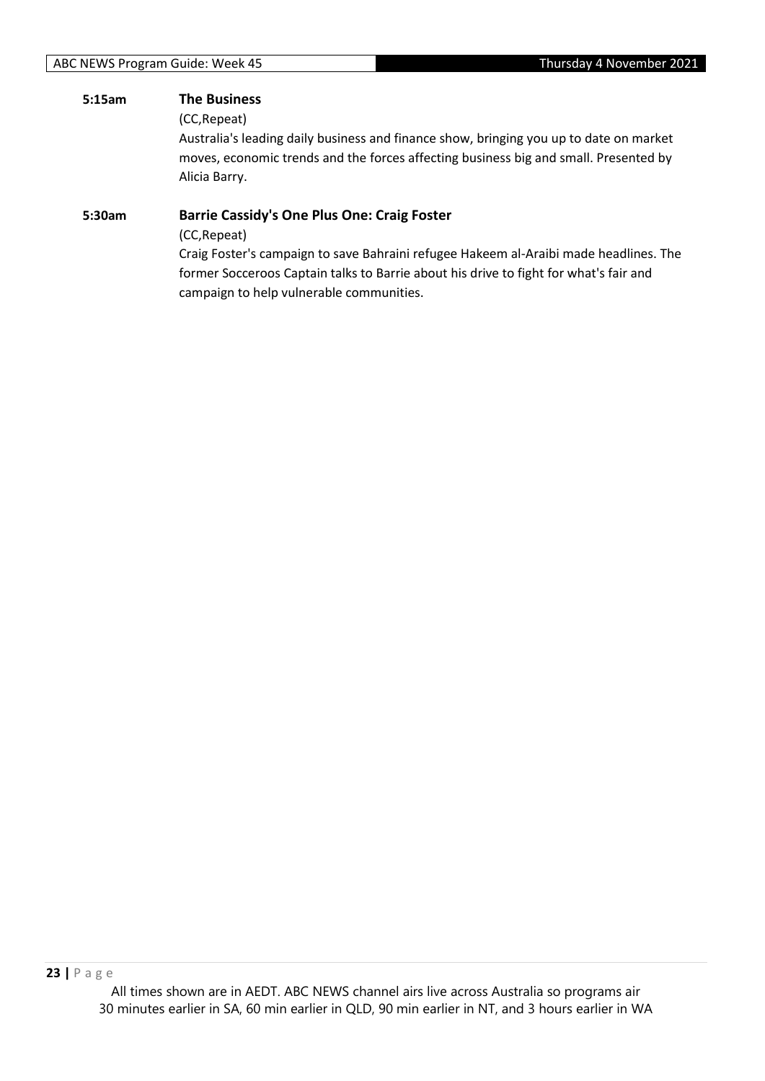#### **5:15am The Business**

(CC,Repeat)

Australia's leading daily business and finance show, bringing you up to date on market moves, economic trends and the forces affecting business big and small. Presented by Alicia Barry.

#### **5:30am Barrie Cassidy's One Plus One: Craig Foster**

(CC,Repeat)

Craig Foster's campaign to save Bahraini refugee Hakeem al-Araibi made headlines. The former Socceroos Captain talks to Barrie about his drive to fight for what's fair and campaign to help vulnerable communities.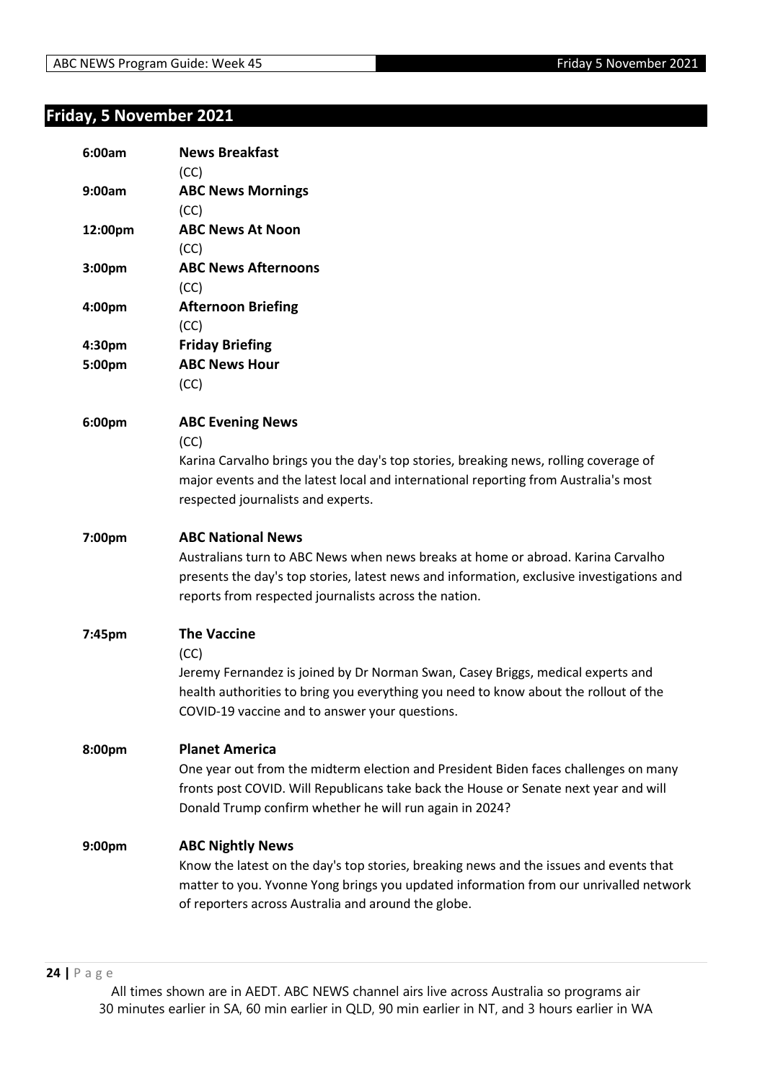## <span id="page-23-0"></span>**Friday, 5 November 2021**

| 6:00am           | <b>News Breakfast</b><br>(CC)                                                                                                                                                                                                                                      |
|------------------|--------------------------------------------------------------------------------------------------------------------------------------------------------------------------------------------------------------------------------------------------------------------|
| 9:00am           | <b>ABC News Mornings</b>                                                                                                                                                                                                                                           |
| 12:00pm          | (CC)<br><b>ABC News At Noon</b>                                                                                                                                                                                                                                    |
| 3:00pm           | (CC)<br><b>ABC News Afternoons</b>                                                                                                                                                                                                                                 |
| 4:00pm           | (CC)<br><b>Afternoon Briefing</b>                                                                                                                                                                                                                                  |
|                  | (CC)                                                                                                                                                                                                                                                               |
| 4:30pm<br>5:00pm | <b>Friday Briefing</b><br><b>ABC News Hour</b>                                                                                                                                                                                                                     |
|                  | (CC)                                                                                                                                                                                                                                                               |
| 6:00pm           | <b>ABC Evening News</b><br>(CC)<br>Karina Carvalho brings you the day's top stories, breaking news, rolling coverage of                                                                                                                                            |
|                  | major events and the latest local and international reporting from Australia's most<br>respected journalists and experts.                                                                                                                                          |
| 7:00pm           | <b>ABC National News</b><br>Australians turn to ABC News when news breaks at home or abroad. Karina Carvalho<br>presents the day's top stories, latest news and information, exclusive investigations and<br>reports from respected journalists across the nation. |
| 7:45pm           | <b>The Vaccine</b><br>(CC)<br>Jeremy Fernandez is joined by Dr Norman Swan, Casey Briggs, medical experts and<br>health authorities to bring you everything you need to know about the rollout of the<br>COVID-19 vaccine and to answer your questions.            |
| 8:00pm           | <b>Planet America</b><br>One year out from the midterm election and President Biden faces challenges on many<br>fronts post COVID. Will Republicans take back the House or Senate next year and will<br>Donald Trump confirm whether he will run again in 2024?    |
| 9:00pm           | <b>ABC Nightly News</b><br>Know the latest on the day's top stories, breaking news and the issues and events that<br>matter to you. Yvonne Yong brings you updated information from our unrivalled network<br>of reporters across Australia and around the globe.  |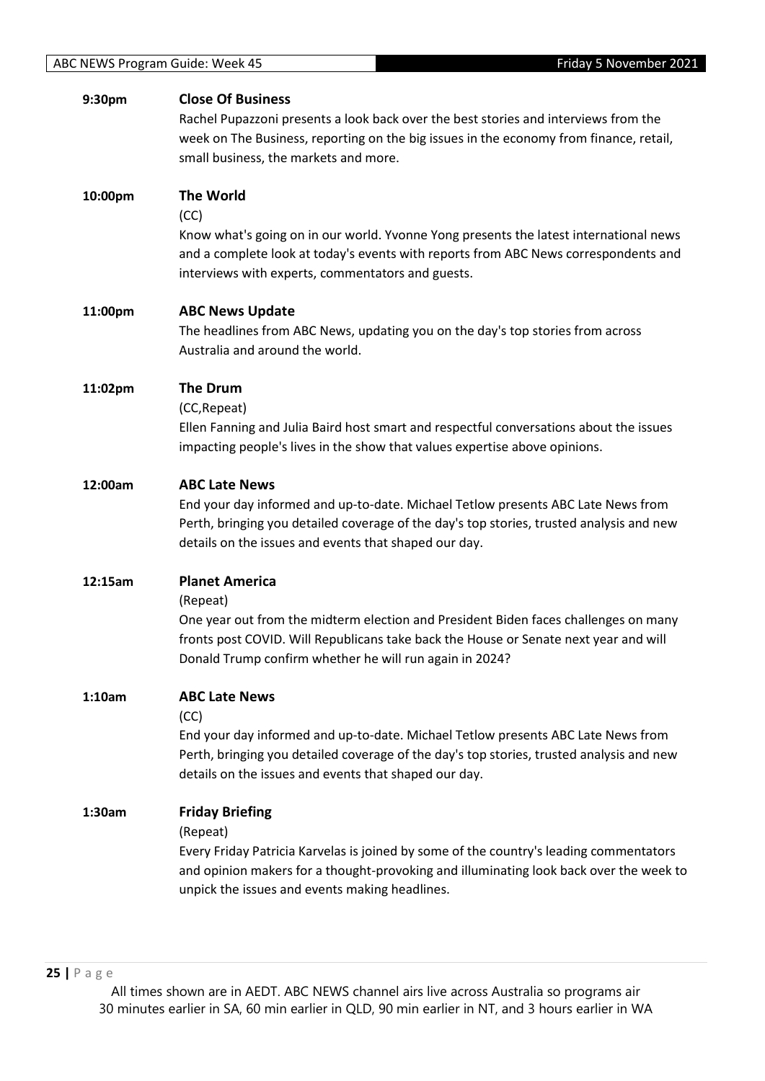#### **9:30pm Close Of Business**

Rachel Pupazzoni presents a look back over the best stories and interviews from the week on The Business, reporting on the big issues in the economy from finance, retail, small business, the markets and more.

#### **10:00pm The World**

(CC)

Know what's going on in our world. Yvonne Yong presents the latest international news and a complete look at today's events with reports from ABC News correspondents and interviews with experts, commentators and guests.

#### **11:00pm ABC News Update**

The headlines from ABC News, updating you on the day's top stories from across Australia and around the world.

#### **11:02pm The Drum**

(CC,Repeat)

Ellen Fanning and Julia Baird host smart and respectful conversations about the issues impacting people's lives in the show that values expertise above opinions.

#### **12:00am ABC Late News**

End your day informed and up-to-date. Michael Tetlow presents ABC Late News from Perth, bringing you detailed coverage of the day's top stories, trusted analysis and new details on the issues and events that shaped our day.

#### **12:15am Planet America**

(Repeat)

One year out from the midterm election and President Biden faces challenges on many fronts post COVID. Will Republicans take back the House or Senate next year and will Donald Trump confirm whether he will run again in 2024?

#### **1:10am ABC Late News**

(CC)

End your day informed and up-to-date. Michael Tetlow presents ABC Late News from Perth, bringing you detailed coverage of the day's top stories, trusted analysis and new details on the issues and events that shaped our day.

#### **1:30am Friday Briefing**

(Repeat)

Every Friday Patricia Karvelas is joined by some of the country's leading commentators and opinion makers for a thought-provoking and illuminating look back over the week to unpick the issues and events making headlines.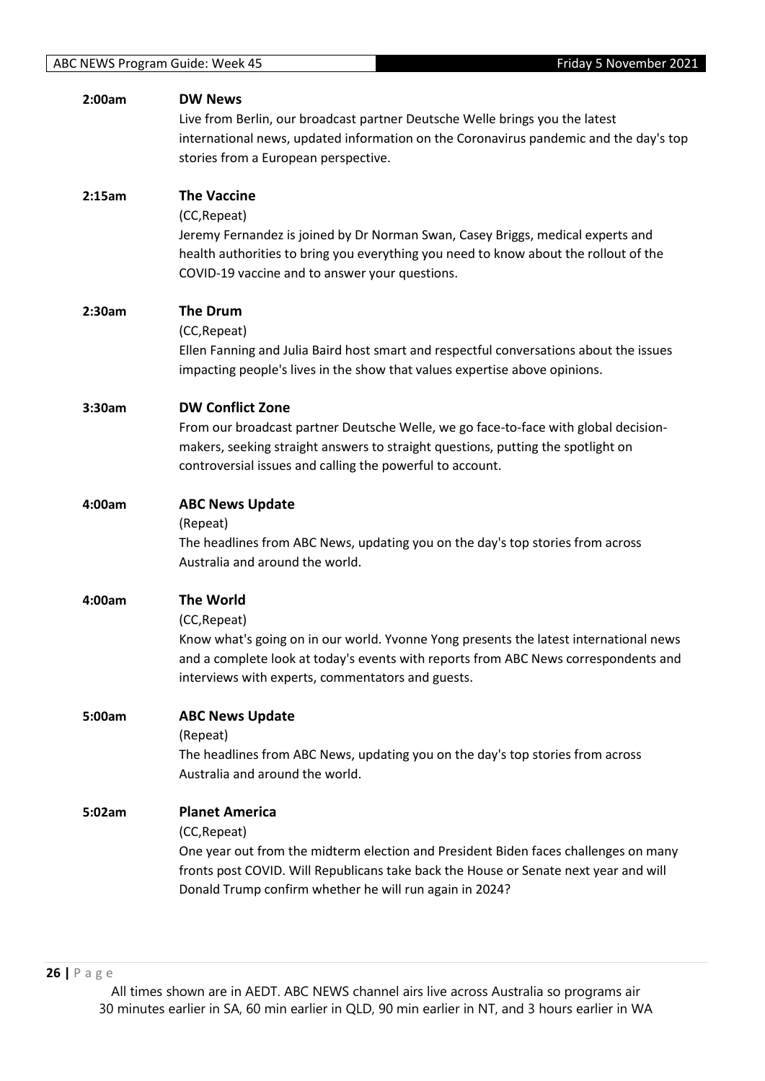| 2:00am | <b>DW News</b><br>Live from Berlin, our broadcast partner Deutsche Welle brings you the latest<br>international news, updated information on the Coronavirus pandemic and the day's top<br>stories from a European perspective.                                                 |
|--------|---------------------------------------------------------------------------------------------------------------------------------------------------------------------------------------------------------------------------------------------------------------------------------|
| 2:15am | <b>The Vaccine</b><br>(CC, Repeat)<br>Jeremy Fernandez is joined by Dr Norman Swan, Casey Briggs, medical experts and<br>health authorities to bring you everything you need to know about the rollout of the<br>COVID-19 vaccine and to answer your questions.                 |
| 2:30am | <b>The Drum</b><br>(CC, Repeat)<br>Ellen Fanning and Julia Baird host smart and respectful conversations about the issues<br>impacting people's lives in the show that values expertise above opinions.                                                                         |
| 3:30am | <b>DW Conflict Zone</b><br>From our broadcast partner Deutsche Welle, we go face-to-face with global decision-<br>makers, seeking straight answers to straight questions, putting the spotlight on<br>controversial issues and calling the powerful to account.                 |
| 4:00am | <b>ABC News Update</b><br>(Repeat)<br>The headlines from ABC News, updating you on the day's top stories from across<br>Australia and around the world.                                                                                                                         |
| 4:00am | <b>The World</b><br>(CC, Repeat)<br>Know what's going on in our world. Yvonne Yong presents the latest international news<br>and a complete look at today's events with reports from ABC News correspondents and<br>interviews with experts, commentators and guests.           |
| 5:00am | <b>ABC News Update</b><br>(Repeat)<br>The headlines from ABC News, updating you on the day's top stories from across<br>Australia and around the world.                                                                                                                         |
| 5:02am | <b>Planet America</b><br>(CC, Repeat)<br>One year out from the midterm election and President Biden faces challenges on many<br>fronts post COVID. Will Republicans take back the House or Senate next year and will<br>Donald Trump confirm whether he will run again in 2024? |
|        |                                                                                                                                                                                                                                                                                 |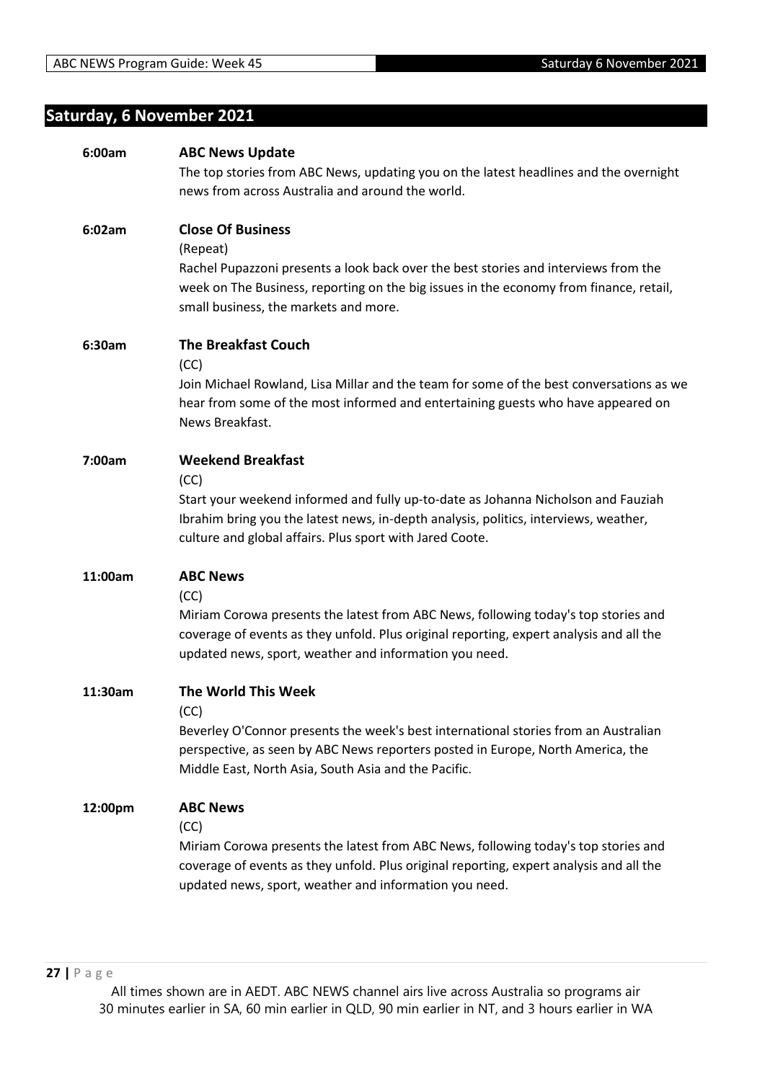## <span id="page-26-0"></span>**Saturday, 6 November 2021**

| 6:00am  | <b>ABC News Update</b>                                                                  |
|---------|-----------------------------------------------------------------------------------------|
|         | The top stories from ABC News, updating you on the latest headlines and the overnight   |
|         | news from across Australia and around the world.                                        |
|         |                                                                                         |
| 6:02am  | <b>Close Of Business</b>                                                                |
|         | (Repeat)                                                                                |
|         | Rachel Pupazzoni presents a look back over the best stories and interviews from the     |
|         | week on The Business, reporting on the big issues in the economy from finance, retail,  |
|         | small business, the markets and more.                                                   |
|         |                                                                                         |
| 6:30am  | <b>The Breakfast Couch</b>                                                              |
|         | (CC)                                                                                    |
|         | Join Michael Rowland, Lisa Millar and the team for some of the best conversations as we |
|         | hear from some of the most informed and entertaining guests who have appeared on        |
|         | News Breakfast.                                                                         |
|         |                                                                                         |
| 7:00am  | <b>Weekend Breakfast</b>                                                                |
|         | (CC)                                                                                    |
|         | Start your weekend informed and fully up-to-date as Johanna Nicholson and Fauziah       |
|         | Ibrahim bring you the latest news, in-depth analysis, politics, interviews, weather,    |
|         | culture and global affairs. Plus sport with Jared Coote.                                |
|         |                                                                                         |
| 11:00am | <b>ABC News</b>                                                                         |
|         | (CC)                                                                                    |
|         | Miriam Corowa presents the latest from ABC News, following today's top stories and      |
|         | coverage of events as they unfold. Plus original reporting, expert analysis and all the |
|         | updated news, sport, weather and information you need.                                  |
|         |                                                                                         |
| 11:30am | <b>The World This Week</b>                                                              |
|         | (CC)                                                                                    |
|         | Beverley O'Connor presents the week's best international stories from an Australian     |
|         | perspective, as seen by ABC News reporters posted in Europe, North America, the         |
|         | Middle East, North Asia, South Asia and the Pacific.                                    |
| 12:00pm | <b>ABC News</b>                                                                         |
|         | (CC)                                                                                    |
|         | Miriam Corowa presents the latest from ABC News, following today's top stories and      |
|         | coverage of events as they unfold. Plus original reporting, expert analysis and all the |
|         | updated news, sport, weather and information you need.                                  |
|         |                                                                                         |
|         |                                                                                         |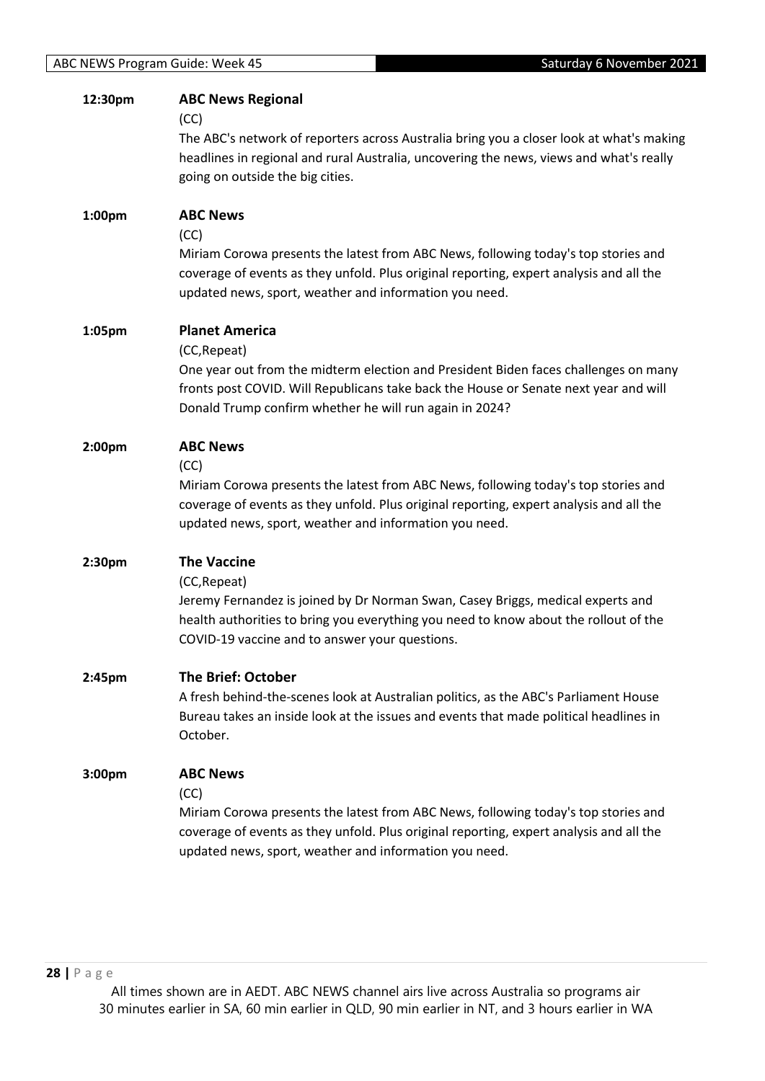| 12:30pm | <b>ABC News Regional</b><br>(CC)<br>The ABC's network of reporters across Australia bring you a closer look at what's making<br>headlines in regional and rural Australia, uncovering the news, views and what's really<br>going on outside the big cities.                     |
|---------|---------------------------------------------------------------------------------------------------------------------------------------------------------------------------------------------------------------------------------------------------------------------------------|
| 1:00pm  | <b>ABC News</b><br>(CC)<br>Miriam Corowa presents the latest from ABC News, following today's top stories and<br>coverage of events as they unfold. Plus original reporting, expert analysis and all the<br>updated news, sport, weather and information you need.              |
| 1:05pm  | <b>Planet America</b><br>(CC, Repeat)<br>One year out from the midterm election and President Biden faces challenges on many<br>fronts post COVID. Will Republicans take back the House or Senate next year and will<br>Donald Trump confirm whether he will run again in 2024? |
| 2:00pm  | <b>ABC News</b><br>(CC)<br>Miriam Corowa presents the latest from ABC News, following today's top stories and<br>coverage of events as they unfold. Plus original reporting, expert analysis and all the<br>updated news, sport, weather and information you need.              |
| 2:30pm  | <b>The Vaccine</b><br>(CC, Repeat)<br>Jeremy Fernandez is joined by Dr Norman Swan, Casey Briggs, medical experts and<br>health authorities to bring you everything you need to know about the rollout of the<br>COVID-19 vaccine and to answer your questions.                 |
| 2:45pm  | <b>The Brief: October</b><br>A fresh behind-the-scenes look at Australian politics, as the ABC's Parliament House<br>Bureau takes an inside look at the issues and events that made political headlines in<br>October.                                                          |
| 3:00pm  | <b>ABC News</b><br>(CC)<br>Miriam Corowa presents the latest from ABC News, following today's top stories and<br>coverage of events as they unfold. Plus original reporting, expert analysis and all the<br>updated news, sport, weather and information you need.              |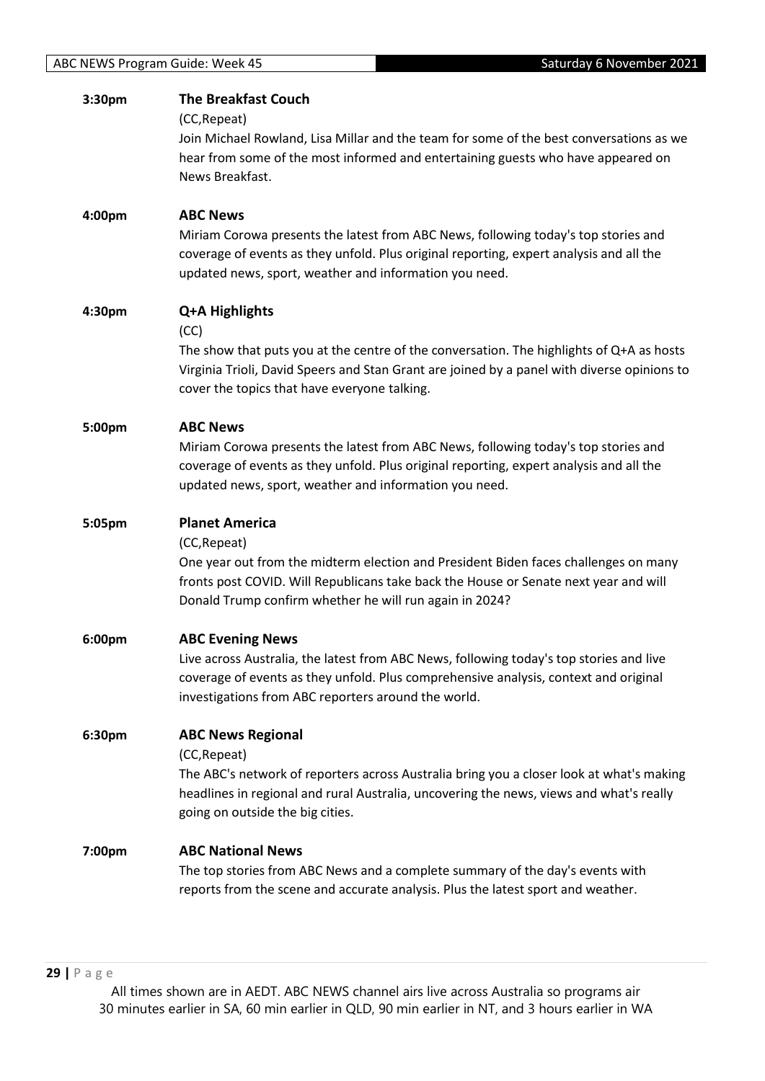| 3:30pm | <b>The Breakfast Couch</b><br>(CC, Repeat)                                                                                                                                                                                                             |
|--------|--------------------------------------------------------------------------------------------------------------------------------------------------------------------------------------------------------------------------------------------------------|
|        | Join Michael Rowland, Lisa Millar and the team for some of the best conversations as we<br>hear from some of the most informed and entertaining guests who have appeared on                                                                            |
|        | News Breakfast.                                                                                                                                                                                                                                        |
| 4:00pm | <b>ABC News</b>                                                                                                                                                                                                                                        |
|        | Miriam Corowa presents the latest from ABC News, following today's top stories and<br>coverage of events as they unfold. Plus original reporting, expert analysis and all the<br>updated news, sport, weather and information you need.                |
| 4:30pm | Q+A Highlights<br>(CC)                                                                                                                                                                                                                                 |
|        | The show that puts you at the centre of the conversation. The highlights of Q+A as hosts<br>Virginia Trioli, David Speers and Stan Grant are joined by a panel with diverse opinions to<br>cover the topics that have everyone talking.                |
| 5:00pm | <b>ABC News</b>                                                                                                                                                                                                                                        |
|        | Miriam Corowa presents the latest from ABC News, following today's top stories and<br>coverage of events as they unfold. Plus original reporting, expert analysis and all the<br>updated news, sport, weather and information you need.                |
| 5:05pm | <b>Planet America</b>                                                                                                                                                                                                                                  |
|        | (CC, Repeat)<br>One year out from the midterm election and President Biden faces challenges on many<br>fronts post COVID. Will Republicans take back the House or Senate next year and will<br>Donald Trump confirm whether he will run again in 2024? |
| 6:00pm | <b>ABC Evening News</b>                                                                                                                                                                                                                                |
|        | Live across Australia, the latest from ABC News, following today's top stories and live<br>coverage of events as they unfold. Plus comprehensive analysis, context and original<br>investigations from ABC reporters around the world.                 |
| 6:30pm | <b>ABC News Regional</b>                                                                                                                                                                                                                               |
|        | (CC, Repeat)<br>The ABC's network of reporters across Australia bring you a closer look at what's making<br>headlines in regional and rural Australia, uncovering the news, views and what's really<br>going on outside the big cities.                |
| 7:00pm | <b>ABC National News</b>                                                                                                                                                                                                                               |
|        | The top stories from ABC News and a complete summary of the day's events with<br>reports from the scene and accurate analysis. Plus the latest sport and weather.                                                                                      |
|        |                                                                                                                                                                                                                                                        |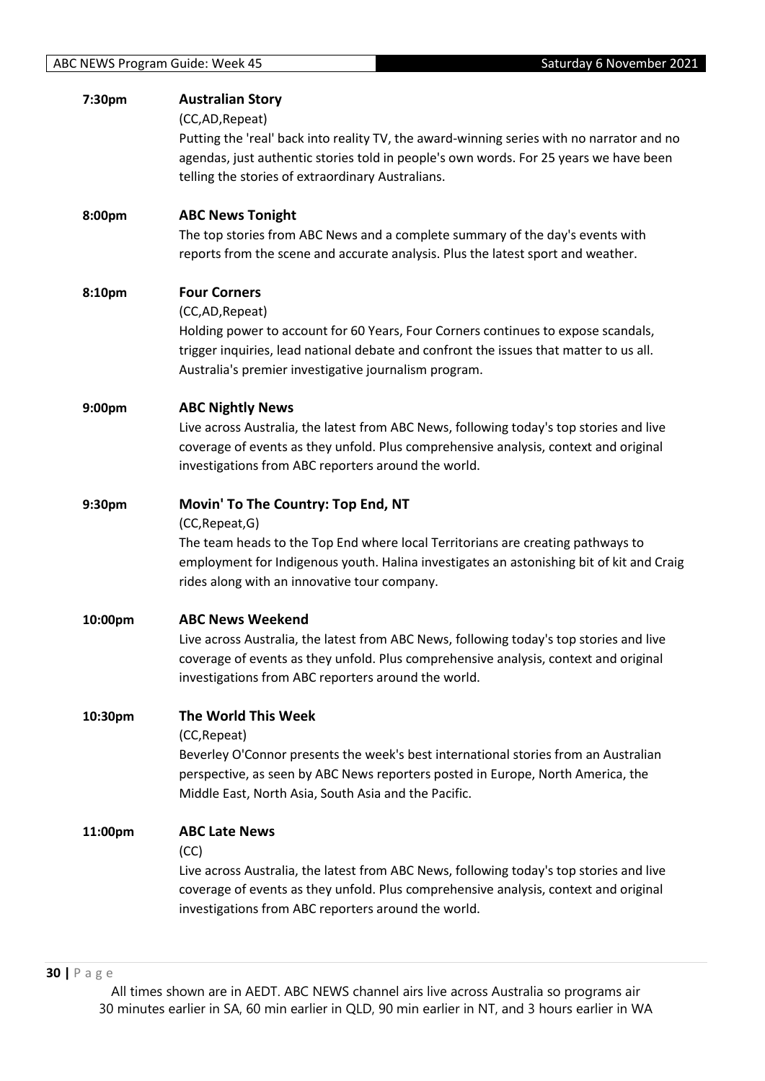| 7:30pm  | <b>Australian Story</b><br>(CC,AD, Repeat)<br>Putting the 'real' back into reality TV, the award-winning series with no narrator and no<br>agendas, just authentic stories told in people's own words. For 25 years we have been<br>telling the stories of extraordinary Australians. |
|---------|---------------------------------------------------------------------------------------------------------------------------------------------------------------------------------------------------------------------------------------------------------------------------------------|
| 8:00pm  | <b>ABC News Tonight</b><br>The top stories from ABC News and a complete summary of the day's events with<br>reports from the scene and accurate analysis. Plus the latest sport and weather.                                                                                          |
| 8:10pm  | <b>Four Corners</b><br>(CC,AD, Repeat)<br>Holding power to account for 60 Years, Four Corners continues to expose scandals,<br>trigger inquiries, lead national debate and confront the issues that matter to us all.<br>Australia's premier investigative journalism program.        |
| 9:00pm  | <b>ABC Nightly News</b><br>Live across Australia, the latest from ABC News, following today's top stories and live<br>coverage of events as they unfold. Plus comprehensive analysis, context and original<br>investigations from ABC reporters around the world.                     |
| 9:30pm  | Movin' To The Country: Top End, NT<br>(CC, Repeat, G)<br>The team heads to the Top End where local Territorians are creating pathways to<br>employment for Indigenous youth. Halina investigates an astonishing bit of kit and Craig<br>rides along with an innovative tour company.  |
| 10:00pm | <b>ABC News Weekend</b><br>Live across Australia, the latest from ABC News, following today's top stories and live<br>coverage of events as they unfold. Plus comprehensive analysis, context and original<br>investigations from ABC reporters around the world.                     |
| 10:30pm | The World This Week<br>(CC, Repeat)<br>Beverley O'Connor presents the week's best international stories from an Australian<br>perspective, as seen by ABC News reporters posted in Europe, North America, the<br>Middle East, North Asia, South Asia and the Pacific.                 |
| 11:00pm | <b>ABC Late News</b><br>(CC)<br>Live across Australia, the latest from ABC News, following today's top stories and live<br>coverage of events as they unfold. Plus comprehensive analysis, context and original<br>investigations from ABC reporters around the world.                |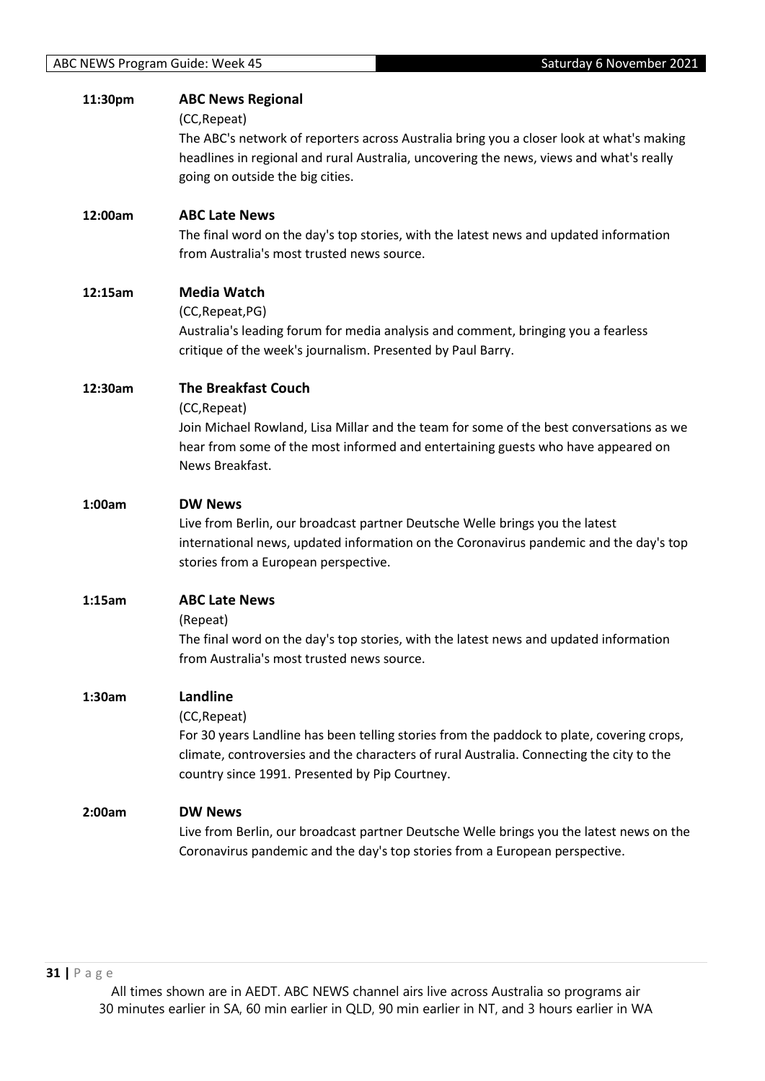| 11:30pm | <b>ABC News Regional</b><br>(CC, Repeat)<br>The ABC's network of reporters across Australia bring you a closer look at what's making<br>headlines in regional and rural Australia, uncovering the news, views and what's really<br>going on outside the big cities. |
|---------|---------------------------------------------------------------------------------------------------------------------------------------------------------------------------------------------------------------------------------------------------------------------|
| 12:00am | <b>ABC Late News</b><br>The final word on the day's top stories, with the latest news and updated information<br>from Australia's most trusted news source.                                                                                                         |
| 12:15am | <b>Media Watch</b><br>(CC, Repeat, PG)<br>Australia's leading forum for media analysis and comment, bringing you a fearless<br>critique of the week's journalism. Presented by Paul Barry.                                                                          |
| 12:30am | <b>The Breakfast Couch</b><br>(CC, Repeat)<br>Join Michael Rowland, Lisa Millar and the team for some of the best conversations as we<br>hear from some of the most informed and entertaining guests who have appeared on<br>News Breakfast.                        |
| 1:00am  | <b>DW News</b><br>Live from Berlin, our broadcast partner Deutsche Welle brings you the latest<br>international news, updated information on the Coronavirus pandemic and the day's top<br>stories from a European perspective.                                     |
| 1:15am  | <b>ABC Late News</b><br>(Repeat)<br>The final word on the day's top stories, with the latest news and updated information<br>from Australia's most trusted news source.                                                                                             |
| 1:30am  | Landline<br>(CC, Repeat)<br>For 30 years Landline has been telling stories from the paddock to plate, covering crops,<br>climate, controversies and the characters of rural Australia. Connecting the city to the<br>country since 1991. Presented by Pip Courtney. |
| 2:00am  | <b>DW News</b><br>Live from Berlin, our broadcast partner Deutsche Welle brings you the latest news on the<br>Coronavirus pandemic and the day's top stories from a European perspective.                                                                           |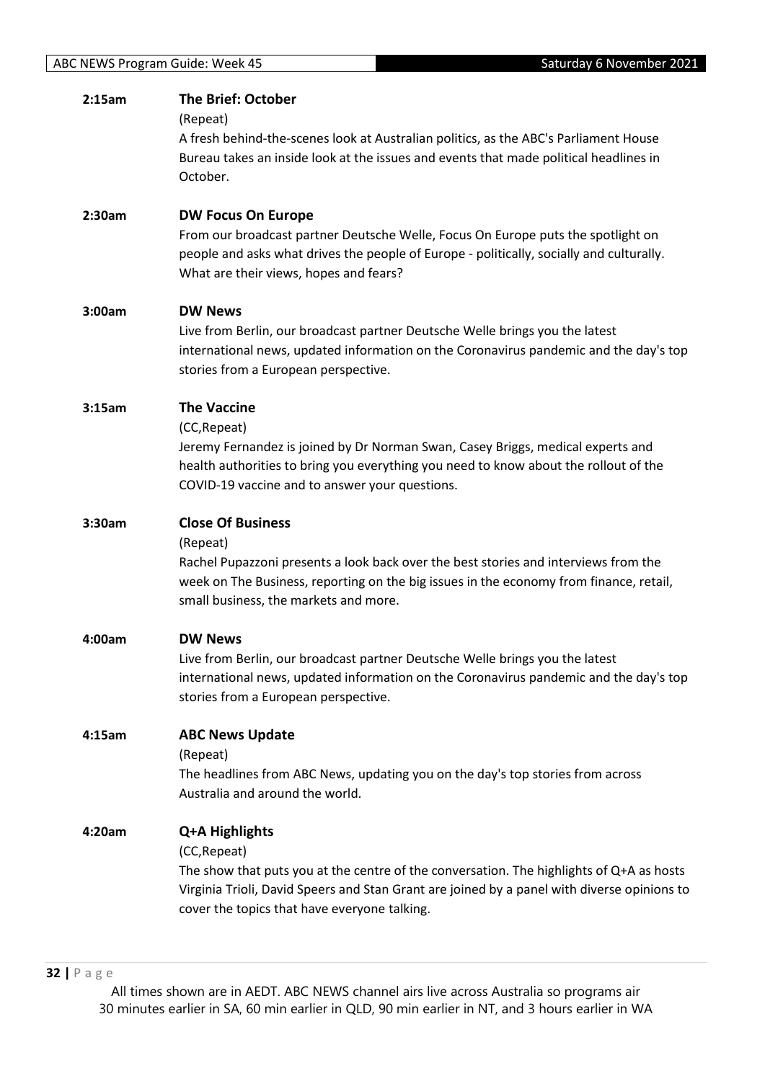| 2:15am | <b>The Brief: October</b><br>(Repeat)<br>A fresh behind-the-scenes look at Australian politics, as the ABC's Parliament House<br>Bureau takes an inside look at the issues and events that made political headlines in<br>October.                                        |
|--------|---------------------------------------------------------------------------------------------------------------------------------------------------------------------------------------------------------------------------------------------------------------------------|
| 2:30am | <b>DW Focus On Europe</b><br>From our broadcast partner Deutsche Welle, Focus On Europe puts the spotlight on<br>people and asks what drives the people of Europe - politically, socially and culturally.<br>What are their views, hopes and fears?                       |
| 3:00am | <b>DW News</b><br>Live from Berlin, our broadcast partner Deutsche Welle brings you the latest<br>international news, updated information on the Coronavirus pandemic and the day's top<br>stories from a European perspective.                                           |
| 3:15am | <b>The Vaccine</b><br>(CC, Repeat)<br>Jeremy Fernandez is joined by Dr Norman Swan, Casey Briggs, medical experts and<br>health authorities to bring you everything you need to know about the rollout of the<br>COVID-19 vaccine and to answer your questions.           |
| 3:30am | <b>Close Of Business</b><br>(Repeat)<br>Rachel Pupazzoni presents a look back over the best stories and interviews from the<br>week on The Business, reporting on the big issues in the economy from finance, retail,<br>small business, the markets and more.            |
| 4:00am | <b>DW News</b><br>Live from Berlin, our broadcast partner Deutsche Welle brings you the latest<br>international news, updated information on the Coronavirus pandemic and the day's top<br>stories from a European perspective.                                           |
| 4:15am | <b>ABC News Update</b><br>(Repeat)<br>The headlines from ABC News, updating you on the day's top stories from across<br>Australia and around the world.                                                                                                                   |
| 4:20am | Q+A Highlights<br>(CC, Repeat)<br>The show that puts you at the centre of the conversation. The highlights of Q+A as hosts<br>Virginia Trioli, David Speers and Stan Grant are joined by a panel with diverse opinions to<br>cover the topics that have everyone talking. |

**32 |** P a g e